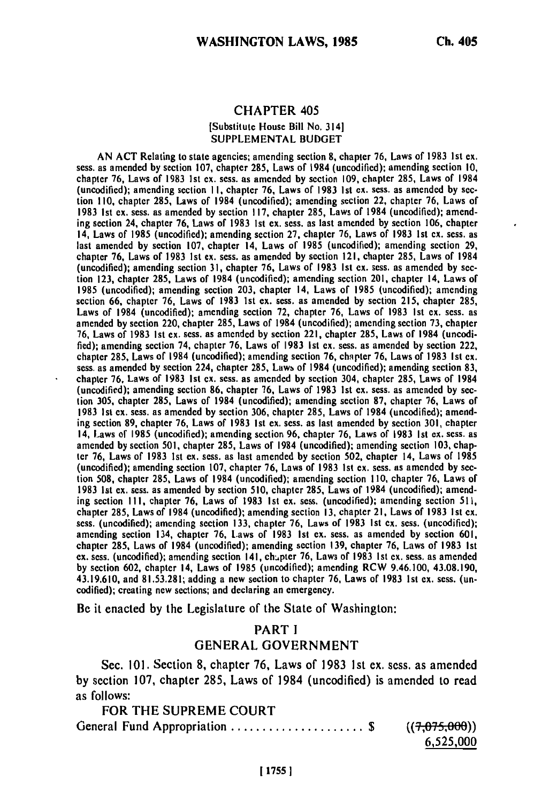#### CHAPTER 405 [Substitute House Bill No. 314] **SUPPLEMENTAL** BUDGET

**AN ACT** Relating to state agencies; amending section **8,** chapter 76, Laws of **1983** 1st ex. sess. as amended **by** section **107,** chapter **285,** Laws of 1984 (uncodified); amending section **10,** chapter **76,** Laws of **1983 Ist ex.** sess. as amended **by** section **109,** chapter **285,** Laws of 1984 (uncodified); amending section **II,** chapter **76,** Laws of **1983 Ist ex.** sess. as amended **by** section **110,** chapter **285,** Laws of 1984 (uncodified); amending section 22, chapter **76,** Laws of **1983 Ist** ex. sess. as amended **by** section **117,** chapter **285,** Laws of 1984 (uncodified); amending section 24, chapter **76,** Laws of **1983 Ist** ex. sess. as last amended **by** section **106,** chapter 14, Laws of **1985** (uncodified); amending section **27,** chapter **76,** Laws of **1983 Ist ex.** sess. as last amended **by** section **107,** chapter 14, Laws of **1985** (uncodified); amending section **29,** chapter **76,** Laws **of 1983 1st** ex. sess. as amended **by** section 121, chapter **285,** Laws **of** 1984 (uncodified); amending section **31,** chapter **76,** Laws of **1983 Ist cx.** sess. as amended **by** section **123,** chapter **285,** Laws of 1984 (uncodified); amending section 201, chapter 14, Laws of **1985** (uncodifled); amending section **203,** chapter 14, Laws of **1985** (uncodifled); amending section **66,** chapter **76,** Laws of **1983 Ist** ex. sess. as amended **by** section **215,** chapter **285,** Laws of 1984 (uncodifled); amending section **72,** chapter **76,** Laws of **1983 Ist ex.** sess. as Laws of 1984 (uncodified); amending section 72, chapter 76, Laws of 1983 1st ex. sess. as amended by section 220, chapter 285, Laws of 1984 (uncodified); amending section 73, chapter **76,** Laws of **1983 1st** ex. sess. as amended **by** section 221, chapter **285,** Laws of 1984 (uncodi**fled);** amending section 74, chapter **76,** Laws of **1983 Ist ex.** sess. as amended **by** section 222, fied); amending section 74, chapter 76, Laws of 1983 1st ex. sess. as amended by section 222, chapter 285, Laws of 1984 (uncodified); amending section 76, chapter 76, Laws of 1983 1st ex. **sess.** as amended **by** section 224, chapter **285,** Lawb of 1984 (uncodified); amending section **83,** chapter **76,** Laws of **1983 Ist ex.** sess. as amended **by** section 304, chapter **285,** Laws of 1984 (uncodified); amending section **86,** chapter **76,** Laws of **1983 Ist ex.** sess. as amended **by** section **305,** chapter **285,** Laws of 1984 (uncodified); amending section **87,** chapter **76,** Laws of **1983 Ist ex. sess.** as amended **by** section **306,** chapter **285,** Laws of 1984 (uncodified); amend-1963 Ist ex. sess. as amended by section 500, enapter 265, Laws of 1964 (uncounted), antend-<br>ing section 89, chapter 76, Laws of 1983 Ist ex. sess. as last amended by section 301, chapter amended **by** section **501,** chapter **285,** Laws of 1984 (uncodified); amending section **103,** chapamended by section 501, chapter 265, Laws of 1984 (uncodined), amending section 103, chapter 14, Laws **of 1985** ter 76, Laws of 1983 1st ex. sess. as last amended by section 502, chapter 14, Laws of 1985 tion **508,** chapter **285,** Laws **of** 1984 (uncodified); amending section **110,** chapter **76,** Laws of **1983 Ist** ex. sess. as amended **by** section **510,** chapter **285,** Laws of 1984 (uncodified); amending section **I I1,** chapter **76,** Laws of **1983 1st** ex. sess. (uncodified); amending section **511,** chapter **285,** Laws of 1984 (uncodified); amending section **13,** chapter 21, Laws of **1983 Ist** ex. chapter 285, Laws of 1984 (uncodified); amending section 13, chapter 21, Laws of 1983 1st ex. <br>sess. (uncodified); amending section 133, chapter 76, Laws of 1983 1st ex. sess. (uncodified); acsos. (uncounted), antending section 135, chapter 76, Laws of 1983 1st ex. sess. (uncounted) chapter **285,** Laws of 1984 (uncodified); amending section **139,** chapter **76,** Laws of **1983 Ist** exapter 285, Laws of 1984 (uncodified); amending section 139, chapter *1*6, Laws of 1983 Ist<br>ex. sess. (uncedified); asserting section 141, chunter <sup>76</sup>, Laws of 1983 1st cy. assesses and address **by Section Commission 602, chapter 141, Chapter 16, Laws of 1983 181 ex. sess. as amended** 43.19.610, and **81.53.281;** adding a new section to chapter **76,** Laws of **1983 Ist** ex. sess. (uncodified); creating new sections; and declaring an emergency.

Be it enacted **by** the Legislature of the State of Washington:

# PART **I GENERAL GOVERNMENT**

Sec. **101.** Section **8,** chapter **76,** Laws of **1983 1st** ex. sess. as amended **by** section **107,** chapter **285,** Laws of 1984 (uncodified) is amended to read as follows:

| FOR THE SUPREME COURT          |             |
|--------------------------------|-------------|
| General Fund Appropriation  \$ | (7,075,000) |
|                                | 6,525,000   |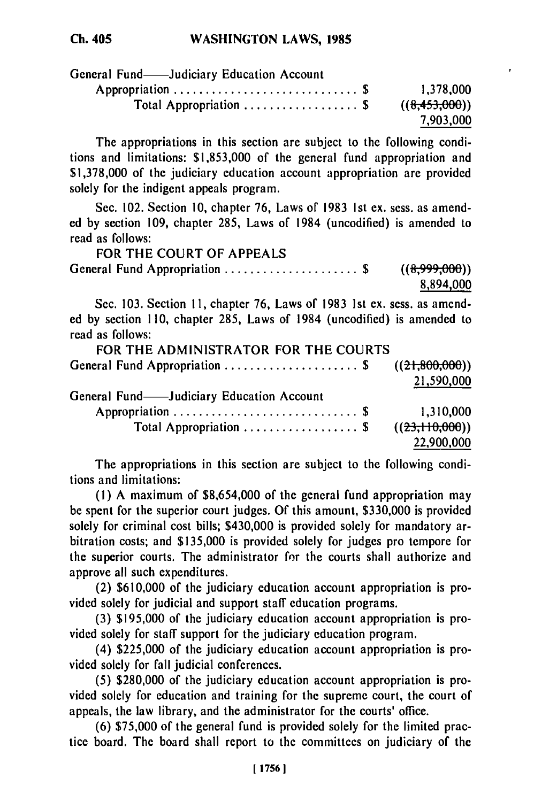| General Fund——Judiciary Education Account              |               |
|--------------------------------------------------------|---------------|
|                                                        | 1.378.000     |
| Total Appropriation $\ldots \ldots \ldots \ldots$ . \$ | ((8,453,000)) |
|                                                        | 7,903,000     |

The appropriations in this section are subject to the following conditions and limitations: \$1,853,000 of the general fund appropriation and \$1,378,000 of the judiciary education account appropriation are provided solely for the indigent appeals program.

Sec. 102. Section 10, chapter 76, Laws of 1983 Ist ex. sess. as amended by section 109, chapter 285, Laws of 1984 (uncodified) is amended to read as follows:

| FOR THE COURT OF APPEALS      |               |
|-------------------------------|---------------|
| General Fund Appropriation \$ | ((8,999,000)) |
|                               | 8,894,000     |

Sec. 103. Section 11, chapter 76, Laws of 1983 1st ex. sess. as amended by section 110, chapter 285, Laws of 1984 (uncodified) is amended to read as follows:

| FOR THE ADMINISTRATOR FOR THE COURTS           |            |
|------------------------------------------------|------------|
| General Fund Appropriation \$ $((21,800,000))$ |            |
|                                                | 21,590,000 |
| General Fund-Judiciary Education Account       |            |
|                                                | 1,310,000  |
| Total Appropriation  \$ $((23,110,000))$       |            |
|                                                | 22,900,000 |

The appropriations in this section are subject to the following conditions and limitations:

**(1)** A maximum of \$8,654,000 of the general fund appropriation may be spent for the superior court judges. Of this amount, \$330,000 is provided solely for criminal cost bills; \$430,000 is provided solely for mandatory arbitration costs; and \$135,000 is provided solely for judges pro tempore for the superior courts. The administrator for the courts shall authorize and approve all such expenditures.

(2) \$610,000 of the judiciary education account appropriation is provided solely for judicial and support staff education programs.

(3) \$195,000 of the judiciary education account appropriation is provided solely for staff support for the judiciary education program.

(4) \$225,000 of the judiciary education account appropriation is provided solely for fall judicial conferences.

(5) \$280,000 of the judiciary education account appropriation is provided solely for education and training for the supreme court, the court of appeals, the law library, and the administrator for the courts' office.

(6) \$75,000 of the general fund is provided solely for the limited practice board. The board shall report to the committees on judiciary of the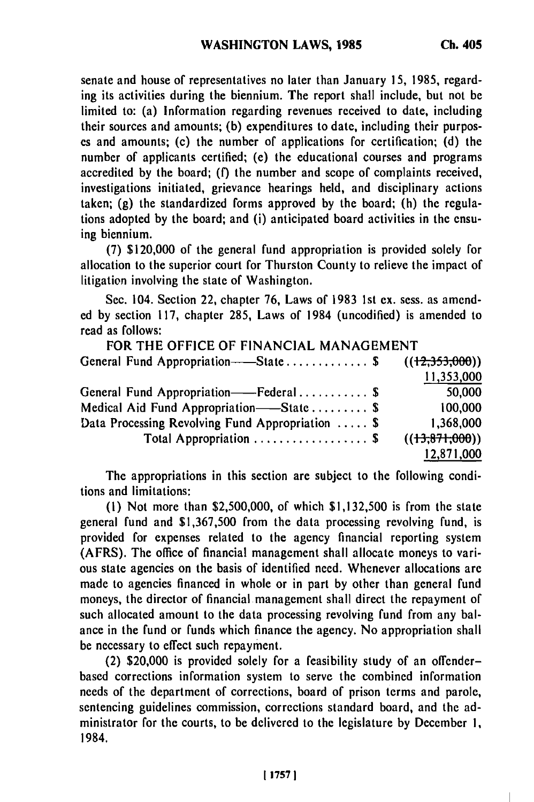senate and house of representatives no later than January **15, 1985,** regarding its activities during the biennium. The report shall include, but not be limited to: (a) Information regarding revenues received to date, including their sources and amounts; **(b)** expenditures to date, including their purposes and amounts; (c) the number of applications for certification; **(d)** the number of applicants certified; (e) the educational courses and programs accredited **by** the board; **(f)** the number and scope of complaints received, investigations initiated, grievance hearings held, and disciplinary actions taken; **(g)** the standardized forms approved **by** the board; (h) the regulations adopted **by** the board; and (i) anticipated board activities in the ensuing biennium.

**(7)** \$120,000 of the general fund appropriation is provided solely for allocation to the superior court for Thurston County to relieve the impact of litigation involving the state of Washington.

Sec. 104. Section 22, chapter **76,** Laws of **1983 1st ex.** sess. as amended **by** section **117,** chapter **285,** Laws of 1984 (uncodified) is amended to read as follows:

| FOR THE OFFICE OF FINANCIAL MANAGEMENT                        |                 |
|---------------------------------------------------------------|-----------------|
| General Fund Appropriation——State\$                           | ((12,353,000))  |
|                                                               | 11,353,000      |
| General Fund Appropriation——Federal \$                        | 50,000          |
| Medical Aid Fund Appropriation——State  \$                     | 100,000         |
| Data Processing Revolving Fund Appropriation  \$              | 1,368,000       |
| Total Appropriation $\ldots \ldots \ldots \ldots \ldots$ . \$ | $((+3,87),000)$ |
|                                                               | 12,871,000      |

The appropriations in this section are subject to the following conditions and limitations:

**(1)** Not more than **\$2,500,000,** of which **\$1,132,500** is from the state general fund and **\$1,367,500** from the data processing revolving fund, is provided for expenses related to the agency financial reporting system (AFRS). The office of financial management shall allocate moneys to various state agencies on the basis of identified need. Whenever allocations are made to agencies financed in whole or in part **by** other than general fund moneys, the director of financial management shall direct the repayment of such allocated amount to the data processing revolving fund from any balance in the fund or funds which finance the agency. No appropriation shall be necessary to effect such repayment.

(2) \$20,000 is provided solely for a feasibility study of an offenderbased corrections information system to serve the combined information needs of the department of corrections, board of prison terms and parole, sentencing guidelines commission, corrections standard board, and the administrator for the courts, to be delivered to the legislature **by** December **1,** 1984.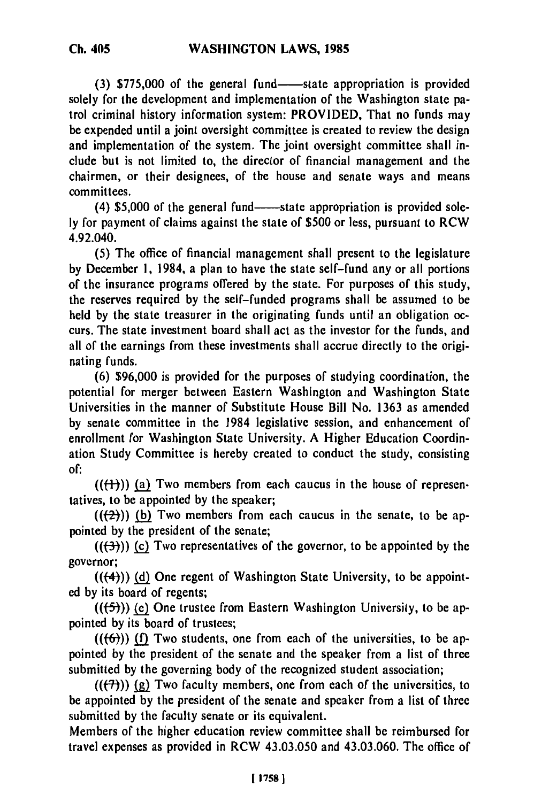(3) \$775,000 of the general fund-state appropriation is provided solely for the development and implementation of the Washington state patrol criminal history information system: PROVIDED, That no funds may be expended until a joint oversight committee is created to review the design and implementation of the system. The joint oversight committee shall include but is not limited to, the director of financial management and the chairmen, or their designees, of the house and senate ways and means committees.

(4) \$5,000 of the general fund-state appropriation is provided sole**ly** for payment of claims against the state of **\$500** or less, pursuant to RCW 4.92.040.

**(5)** The office of financial management shall present to the legislature **by** December **1,** 1984, a plan to have the state self-fund any or all portions of the insurance programs offered **by** the state. For purposes of this study, the reserves required **by** the self-funded programs shall be assumed to be held **by** the state treasurer in the originating funds until an obligation occurs. The state investment board shall act as the investor for the funds, and all of the earnings from these investments shall accrue directly to the originating funds.

**(6) \$96,000** is provided for the purposes of studying coordination, the potential for merger between Eastern Washington and Washington State Universities in the manner of Substitute House Bill No. **1363** as amended **by** senate committee in the 1984 legislative session, and enhancement of enrollment for Washington State University. **A** Higher Education Coordination Study Committee is hereby created to conduct the study, consisting **of:**

 $((+1))$  (a) Two members from each caucus in the house of representatives, to be appointed **by** the speaker;

 $((2))$  (b) Two members from each caucus in the senate, to be appointed **by** the president of the senate;

**(((3))) (c)** Two representatives of the governor, to be appointed **by** the governor;

**(((4))) (d)** One regent of Washington State University, to be appointed **by** its board of regents;

*(((5))* **(e)** One trustee from Eastern Washington University, to be appointed **by** its board of trustees;

 $((\textbf{(f6)}))$  (f) Two students, one from each of the universities, to be appointed **by** the president of the senate and the speaker from a list of three submitted **by** the governing body of the recognized student association;

 $((\langle 7 \rangle))$  (g) Two faculty members, one from each of the universities, to be appointed **by** the president of the senate and speaker from a list of three submitted **by** the faculty senate or its equivalent.

Members of the higher education review committee shall be reimbursed for travel expenses as provided in RCW 43.03.050 and 43.03.060. The office of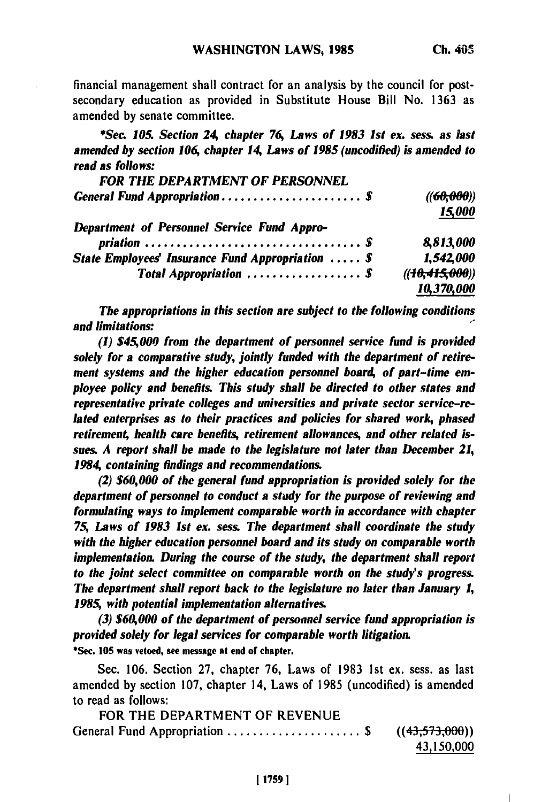financial management shall contract for an analysis **by** the council for postsecondary education as provided in Substitute House Bill No. **1363** as amended **by** senate committee.

*\*Sec. 105. Section 24, chapter 76, Laws of 1983 1st ex. sess. as last amended by section 106, chapter 14, Laws of 1985 (uncodified) is amended to read as follows:*

| <b>FOR THE DEPARTMENT OF PERSONNEL</b>                     |                                   |
|------------------------------------------------------------|-----------------------------------|
|                                                            | $((6\theta, \theta\theta\theta))$ |
|                                                            | 15,000                            |
| <b>Department of Personnel Service Fund Appro-</b>         |                                   |
|                                                            | 8,813,000                         |
| State Employees' Insurance Fund Appropriation $\ldots$ . S | 1,542,000                         |
| Total Appropriation  \$                                    | ((10, 415, 000))                  |
|                                                            | 10,370,000                        |
|                                                            |                                   |

*The appropriations in this section are subject to the following conditions and limitations:*

*(1) \$45,000 from the department of personnel service fund is provided solely for a comparative study, jointly funded with the department of retire*ment systems and the higher education personnel board, of part-time em*ployee policy and benefits. This study shall be directed to other states and representative private colleges and universities and private sector service-related enterprises as to their practices and policies for shared work, phased retirement, health care benefits, retirement allowances, and other related issues. A report shall be made to the legislature not later than December 21, 1984, containing findings and recommendations.*

*(2) \$60,000 of the general fund appropriation is provided solely for the department of personnel to conduct a study for the purpose of reviewing and formulating ways to implement comparable worth in accordance with chapter 75 Laws of 1983 1st ex. sess. The department shall coordinate the study with the higher education personnel board and its study on comparable worth implementation. During the course of the study, the department shall report to the joint select committee on comparable worth on the study's progress. The department shall report back to the legislature no later than January 1, 1985 with potential implementation alternatives.*

*(3) \$60,000 of the department of personnel service fund appropriation is provided solely for legal services for comparable worth litigation.* \*Sec. **105** was vetoed, see message at end or chapter.

Sec. 106. Section **27,** chapter **76,** Laws of **1983 Ist** ex. sess. as last amended **by** section **107,** chapter 14, Laws of 1985 (uncodified) is amended to read as follows:

| .                                               |            |
|-------------------------------------------------|------------|
| FOR THE DEPARTMENT OF REVENUE                   |            |
| General Fund Appropriation  \$ $((43,573,000))$ |            |
|                                                 | 43,150,000 |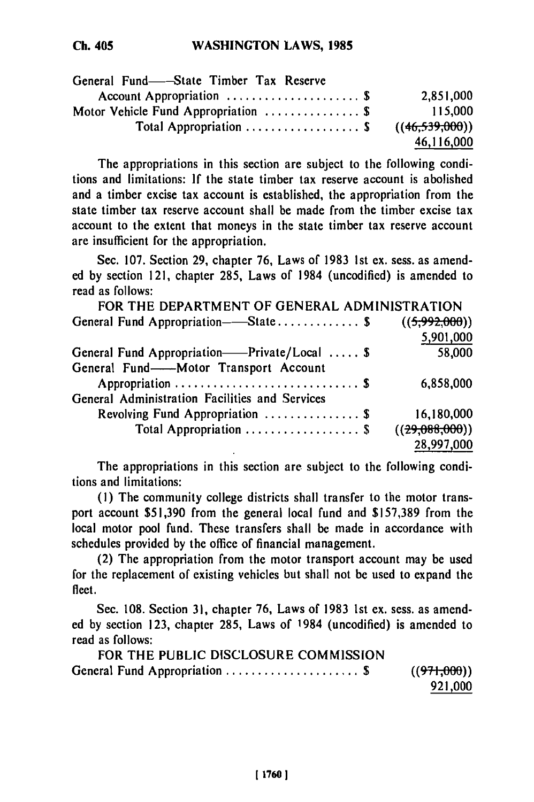| General Fund—State Timber Tax Reserve                  |                  |
|--------------------------------------------------------|------------------|
| Account Appropriation  \$                              | 2,851,000        |
| Motor Vehicle Fund Appropriation  \$                   | 115,000          |
| Total Appropriation $\ldots \ldots \ldots \ldots$ . \$ | ((46, 539, 000)) |
|                                                        | 46,116,000       |

The appropriations in this section are subject to the following conditions and limitations: **If** the state timber tax reserve account is abolished and a timber excise tax account is established, the appropriation from the state timber tax reserve account shall be made from the timber excise tax account to the extent that moneys in the state timber tax reserve account are insufficient for the appropriation.

Sec. **107.** Section 29, chapter **76,** Laws of **1983 Ist** ex. sess. as amended **by** section 121, chapter **285,** Laws of 1984 (uncodified) is amended to read as follows:

| FOR THE DEPARTMENT OF GENERAL ADMINISTRATION      |                |
|---------------------------------------------------|----------------|
| General Fund Appropriation—State \$ ((5,992,000)) |                |
|                                                   | 5,901,000      |
| General Fund Appropriation——Private/Local  \$     | 58,000         |
| General Fund-Motor Transport Account              |                |
|                                                   | 6,858,000      |
| General Administration Facilities and Services    |                |
| Revolving Fund Appropriation  \$                  | 16,180,000     |
| Total Appropriation  \$                           | ((29,088,000)) |
|                                                   | 28,997,000     |

The appropriations in this section are subject to the following conditions and limitations:

**(1)** The community college districts shall transfer to the motor transport account \$51,390 from the general local fund and \$157,389 from the local motor pool fund. These transfers shall be made in accordance with schedules provided **by** the office of financial management.

(2) The appropriation from the motor transport account may be used for the replacement of existing vehicles but shall not be used to expand the fleet.

Sec. 108. Section 31, chapter 76, Laws of 1983 1st ex. sess. as amended by section 123, chapter 285, Laws of 1984 (uncodified) is amended to read as follows:

FOR THE PUBLIC DISCLOSURE COMMISSION General Fund Appropriation ..................... \$ ((97-1-000)) **921,000**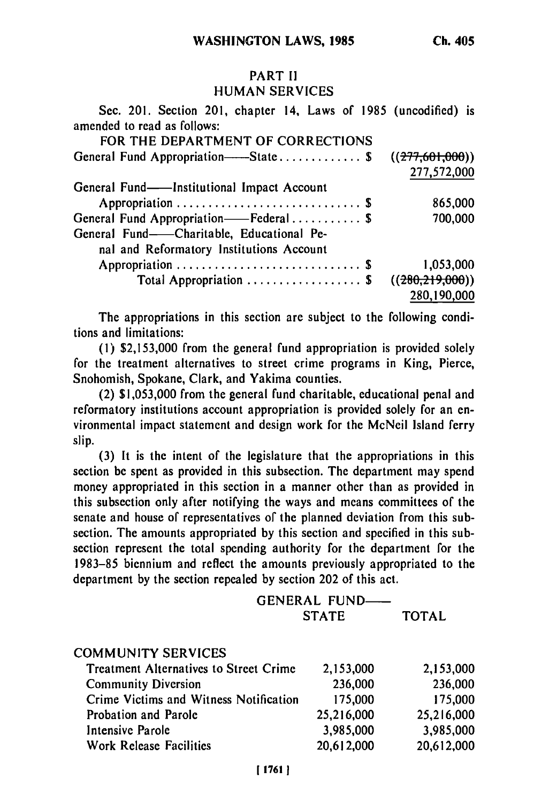# PART **I!** HUMAN SERVICES

| Sec. 201. Section 201, chapter 14, Laws of 1985 (uncodified) is<br>amended to read as follows: |                 |
|------------------------------------------------------------------------------------------------|-----------------|
| FOR THE DEPARTMENT OF CORRECTIONS                                                              |                 |
| General Fund Appropriation——State \$                                                           | ((277,601,000)) |
|                                                                                                | 277,572,000     |
| General Fund—Institutional Impact Account                                                      |                 |
|                                                                                                | 865,000         |
| General Fund Appropriation——Federal \$                                                         | 700,000         |
| General Fund——Charitable, Educational Pe-                                                      |                 |
| nal and Reformatory Institutions Account                                                       |                 |
|                                                                                                | 1,053,000       |
| Total Appropriation  \$                                                                        | ((280,219,000)) |
|                                                                                                | 280,190,000     |

The appropriations in this section are subject to the following conditions and limitations:

**(I) \$2,153,000** from the general fund appropriation is provided solely for the treatment alternatives to street crime programs in King, Pierce, Snohomish, Spokane, Clark, and Yakima counties.

(2) **\$1,053,000** from the general fund charitable, educational penal and reformatory institutions account appropriation is provided solely for an environmental impact statement and design work for the McNeil Island ferry slip.

**(3)** It is the intent of the legislature that the appropriations in this section **be** spent as provided in this subsection. The department may spend money appropriated in this section in a manner other than as provided in this subsection only after notifying the ways and means committees of the senate and house of representatives of the planned deviation from this subsection. The amounts appropriated **by** this section and specified in this subsection represent the total spending authority for the department for the **1983-85** biennium and reflect the amounts previously appropriated to the department **by** the section repealed **by** section 202 of this act.

| <b>GENERAL FUND——</b> |              |
|-----------------------|--------------|
| <b>STATE</b>          | <b>TOTAL</b> |

| <b>COMMUNITY SERVICES</b>                     |            |            |
|-----------------------------------------------|------------|------------|
| <b>Treatment Alternatives to Street Crime</b> | 2,153,000  | 2,153,000  |
| <b>Community Diversion</b>                    | 236,000    | 236,000    |
| Crime Victims and Witness Notification        | 175,000    | 175,000    |
| Probation and Parole                          | 25,216,000 | 25,216,000 |
| Intensive Parole                              | 3,985,000  | 3,985,000  |
| Work Release Facilities                       | 20,612,000 | 20,612,000 |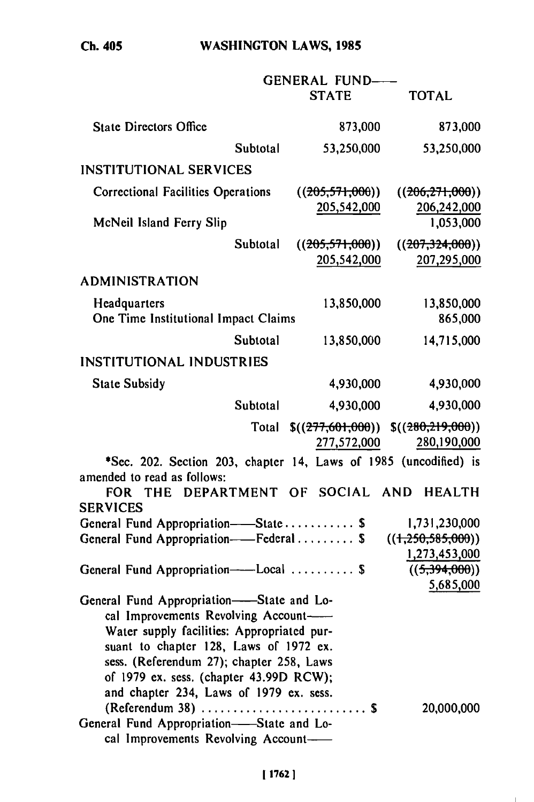**WASHINGTON** LAWS, **1985**

|                                                                                                 |          | <b>GENERAL FUND-</b> |                                     |
|-------------------------------------------------------------------------------------------------|----------|----------------------|-------------------------------------|
|                                                                                                 |          | <b>STATE</b>         | <b>TOTAL</b>                        |
| <b>State Directors Office</b>                                                                   |          | 873,000              | 873,000                             |
|                                                                                                 | Subtotal | 53,250,000           | 53,250,000                          |
| <b>INSTITUTIONAL SERVICES</b>                                                                   |          |                      |                                     |
| <b>Correctional Facilities Operations</b>                                                       |          | ((205,571,000))      | ((206, 271, 000))                   |
|                                                                                                 |          | 205,542,000          | 206,242,000                         |
| McNeil Island Ferry Slip                                                                        |          |                      | 1,053,000                           |
|                                                                                                 | Subtotal | ((205,571,000))      | ((207,324,000))                     |
|                                                                                                 |          | 205,542,000          | 207,295,000                         |
| <b>ADMINISTRATION</b>                                                                           |          |                      |                                     |
| Headquarters                                                                                    |          | 13,850,000           | 13,850,000                          |
| One Time Institutional Impact Claims                                                            |          |                      | 865,000                             |
|                                                                                                 | Subtotal | 13,850,000           | 14,715,000                          |
| <b>INSTITUTIONAL INDUSTRIES</b>                                                                 |          |                      |                                     |
| <b>State Subsidy</b>                                                                            |          | 4,930,000            | 4,930,000                           |
|                                                                                                 | Subtotal | 4,930,000            | 4,930,000                           |
|                                                                                                 | Total    |                      | $$(277,601,000))$ $$(280,219,000))$ |
|                                                                                                 |          | 277,572,000          | 280,190,000                         |
| *Sec. 202. Section 203, chapter 14, Laws of 1985 (uncodified) is<br>amended to read as follows: |          |                      |                                     |
| <b>THE</b><br><b>FOR</b>                                                                        |          | DEPARTMENT OF SOCIAL | AND<br><b>HEALTH</b>                |
| <b>SERVICES</b>                                                                                 |          |                      |                                     |
| General Fund Appropriation-State \$                                                             |          |                      | 1,731,230,000                       |
| General Fund Appropriation--Federal \$                                                          |          |                      | ((1,250,585,000))                   |
|                                                                                                 |          |                      | 1,273,453,000                       |
| General Fund Appropriation----Local  \$                                                         |          |                      | ((5,394,000))<br>5,685,000          |
| General Fund Appropriation--State and Lo-                                                       |          |                      |                                     |
| cal Improvements Revolving Account-                                                             |          |                      |                                     |
| Water supply facilities: Appropriated pur-                                                      |          |                      |                                     |
| suant to chapter 128, Laws of 1972 ex.                                                          |          |                      |                                     |
| sess. (Referendum 27); chapter 258, Laws                                                        |          |                      |                                     |
| of 1979 ex. sess. (chapter 43.99D RCW);<br>and chapter 234, Laws of 1979 ex. sess.              |          |                      |                                     |
| (Referendum 38)  \$                                                                             |          |                      | 20,000,000                          |
| General Fund Appropriation-State and Lo-                                                        |          |                      |                                     |
| cal Improvements Revolving Account-                                                             |          |                      |                                     |

 $\mathbf{L}$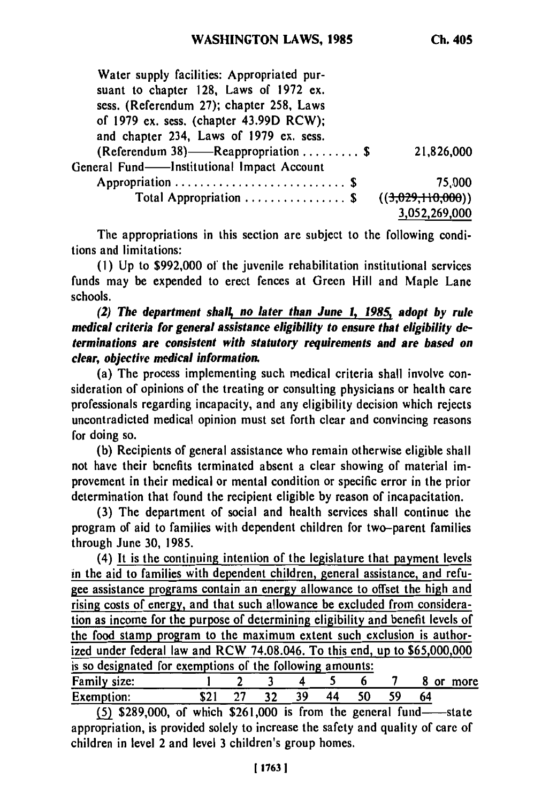| Water supply facilities: Appropriated pur-<br>suant to chapter 128, Laws of 1972 ex.<br>sess. (Referendum 27); chapter 258, Laws<br>of 1979 ex. sess. (chapter 43.99D RCW);<br>and chapter 234, Laws of 1979 ex. sess. |                                    |
|------------------------------------------------------------------------------------------------------------------------------------------------------------------------------------------------------------------------|------------------------------------|
| (Referendum 38)——Reappropriation \$<br>General Fund—Institutional Impact Account                                                                                                                                       | 21,826,000                         |
|                                                                                                                                                                                                                        | 75.000                             |
| Total Appropriation  \$                                                                                                                                                                                                | ((3.029.110.000))<br>3,052,269,000 |

The appropriations in this section are subject to the following conditions and limitations:

**(1) Up** to \$992,000 of the juvenile rehabilitation institutional services funds may be expended to erect fences at Green Hill and Maple Lane schools.

*(2) The department shalt no later than June 1, 1985; adopt by rule medical criteria for general assistance eligibility to ensure that eligibility determinations are consistent with statutory requirements and are based on clear, objective medical information.*

(a) The process implementing such medical criteria shall involve consideration of opinions of the treating or consulting physicians or health care professionals regarding incapacity, and any eligibility decision which rejects uncontradicted medical opinion must set forth clear and convincing reasons for doing so.

**(b)** Recipients of general assistance who remain otherwise eligible shall not have their bcnefits terminated absent a clear showing of material improvement in their medical or mental condition or specific error in the prior determination that found the recipient eligible **by** reason of incapacitation.

**(3)** The department of social and health services shall continue the program of aid to families with dependent children for two-parent families through June **30,** 1985.

(4) It is the continuing intention of the legislature that payment levels in the aid to families with dependent children, general assistance, and refugee assistance programs contain an energy allowance to offset the high and rising costs **of** energy, and that such allowance be excluded from consideration as income for the purpose of determining eligibility and benefit levels of the food stamp program to the maximum extent such exclusion is authorized under federal law and RCW 74.08.046. To this end, up to \$65,000,000 is so designated for exemptions of the following amounts: Family size: **1** 2 **3** 4 5 6 **7** 8 or more

| Family size: |  |      |    |    |     | or. | more |
|--------------|--|------|----|----|-----|-----|------|
| Exemption:   |  | - 39 | 44 | 50 | -59 |     |      |

 $(5)$  \$289,000, of which \$261,000 is from the general fund- $-$ -state appropriation, is provided solely to increase the safety and quality of care of children in level 2 and level **3** children's group homes.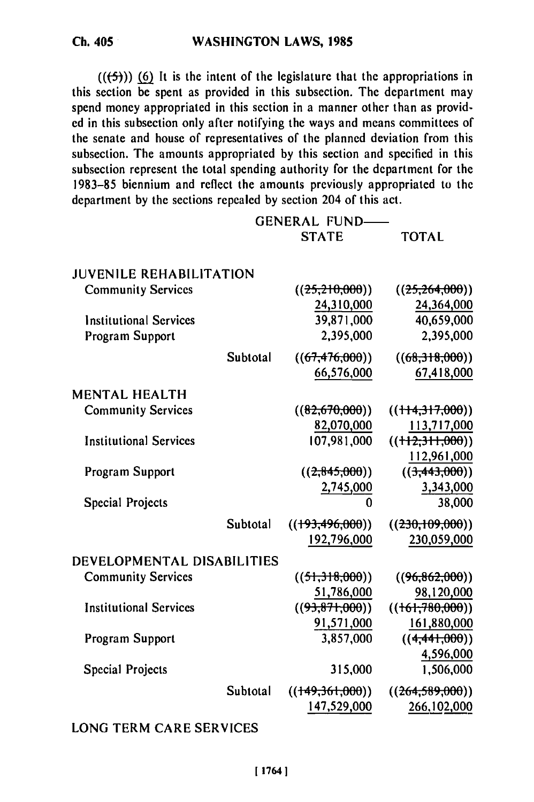$((\frac{1}{2})$ ) (6) It is the intent of the legislature that the appropriations in this section be spent as provided in this subsection. The department may spend money appropriated in this section in a manner other than as provid**ed** in this subsection only after notifying the ways and means committees **of** the senate and house **of** representatives of the planned deviation from this subsection. The amounts appropriated **by** this section and specified in this subsection represent the total spending authority for the department for the **1983-85** biennium and reflect the amounts previously appropriated to the department **by** the sections repealed **by** section 204 of this act.

|                                |          | <b>GENERAL FUND-</b> |                   |
|--------------------------------|----------|----------------------|-------------------|
|                                |          | <b>STATE</b>         | <b>TOTAL</b>      |
| <b>JUVENILE REHABILITATION</b> |          |                      |                   |
| <b>Community Services</b>      |          | ((25,210,000))       | ((25,264,000))    |
|                                |          | 24,310,000           | 24,364,000        |
| <b>Institutional Services</b>  |          | 39,871,000           | 40,659,000        |
| Program Support                |          | 2,395,000            | 2,395,000         |
|                                | Subtotal | ((67, 476, 000))     | ((68,318,000))    |
|                                |          | 66,576,000           | 67,418,000        |
| <b>MENTAL HEALTH</b>           |          |                      |                   |
| <b>Community Services</b>      |          | ((82,670,000))       | ((114,317,000))   |
|                                |          | 82,070,000           | 113,717,000       |
| <b>Institutional Services</b>  |          | 107,981,000          | $((+12,311,000))$ |
|                                |          |                      | 112,961,000       |
| Program Support                |          | ((2,845,000))        | ((3,443,000))     |
|                                |          | 2,745,000            | 3,343,000         |
| <b>Special Projects</b>        |          |                      | 38,000            |
|                                | Subtotal | ((193, 496, 000))    | ((230,109,000))   |
|                                |          | 192,796,000          | 230,059,000       |
| DEVELOPMENTAL DISABILITIES     |          |                      |                   |
| <b>Community Services</b>      |          | ((51,318,000))       | ((96,862,000))    |
|                                |          | 51,786,000           | 98,120,000        |
| <b>Institutional Services</b>  |          | ((93, 871, 000))     | ((161,780,000))   |
|                                |          | 91,571,000           | 161,880,000       |
| Program Support                |          | 3,857,000            | ((4,441,000))     |
|                                |          |                      | 4,596,000         |
| <b>Special Projects</b>        |          | 315,000              | 1,506,000         |
|                                | Subtotal | ((149,361,000))      | ((264, 589, 000)) |
|                                |          | 147,529,000          | 266,102,000       |

# **LONG TERM** CARE **SERVICES**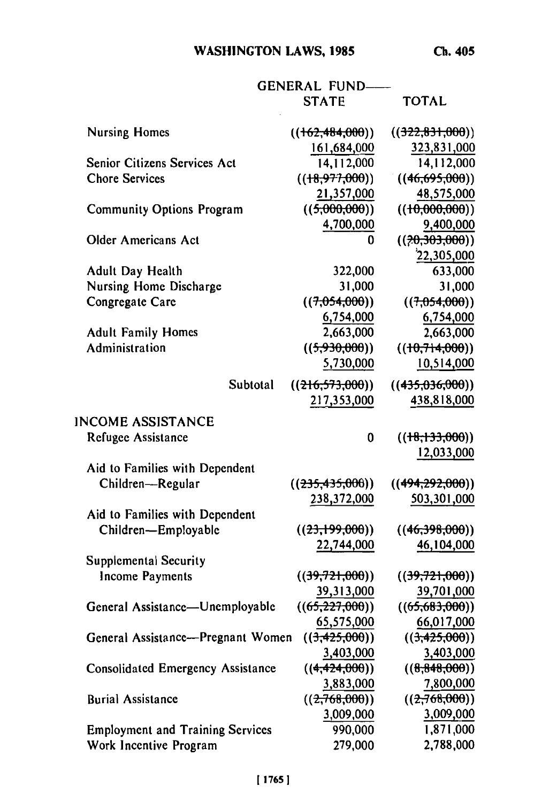# **WASHINGTON LAWS, 1985**

**Ch. 405**

|                                          | <b>GENERAL FUND</b> |                   |
|------------------------------------------|---------------------|-------------------|
|                                          | <b>STATE</b>        | <b>TOTAL</b>      |
| <b>Nursing Homes</b>                     | ((162, 484, 000))   | ((322,831,000))   |
|                                          | 161,684,000         | 323,831,000       |
| Senior Citizens Services Act             | 14,112,000          | 14,112,000        |
| <b>Chore Services</b>                    | ((18,977,000))      | ((46,695,000))    |
|                                          | 21,357,000          | 48,575,000        |
| <b>Community Options Program</b>         | ((5,000,000))       | ((10,000,000))    |
|                                          | 4,700,000           | 9,400,000         |
| <b>Older Americans Act</b>               | 0                   | ((?0, 303, 000))  |
|                                          |                     | 22,305,000        |
| Adult Day Health                         | 322,000             | 633,000           |
| <b>Nursing Home Discharge</b>            | 31,000              | 31,000            |
| Congregate Care                          | ((7,054,000))       | ((7,054,000))     |
|                                          | 6,754,000           | 6,754,000         |
| <b>Adult Family Homes</b>                | 2,663,000           | 2,663,000         |
| Administration                           | ((5,930,000))       | ((10,714,000))    |
|                                          | 5,730,000           | 10,514,000        |
| Subtotal                                 | ((216,573,000))     | ((435,036,000))   |
|                                          | 217,353,000         | 438,818,000       |
|                                          |                     |                   |
| <b>INCOME ASSISTANCE</b>                 |                     |                   |
| Refugee Assistance                       | 0                   | ((18,133,000))    |
|                                          |                     | 12,033,000        |
| Aid to Families with Dependent           |                     |                   |
| Children-Regular                         | ((235, 435, 000))   | ((494, 292, 000)) |
|                                          | 238,372,000         | 503,301,000       |
| Aid to Families with Dependent           |                     |                   |
| Children-Employable                      | ((23,199,000))      | ((46,398,000))    |
|                                          | 22,744,000          | 46,104,000        |
| Supplemental Security                    |                     |                   |
| Income Payments                          | ((39,721,000))      | ((39,721,000))    |
|                                          | 39,313,000          | 39,701,000        |
| General Assistance-Unemployable          | ((65, 227, 000))    | ((65,683,000))    |
|                                          | 65,575,000          | 66,017,000        |
| General Assistance-Pregnant Women        | ((3,425,000))       | ((3,425,000))     |
|                                          | 3,403,000           | 3,403,000         |
| <b>Consolidated Emergency Assistance</b> | ((4, 424, 000))     | ((8,848,000))     |
|                                          | 3,883,000           | 7,800,000         |
| <b>Burial Assistance</b>                 | ((2,768,000))       | ((2,768,000))     |
|                                          | 3,009,000           | 3,009,000         |
| <b>Employment and Training Services</b>  | 990,000             | 1,871,000         |
| Work Incentive Program                   | 279,000             | 2,788,000         |
|                                          |                     |                   |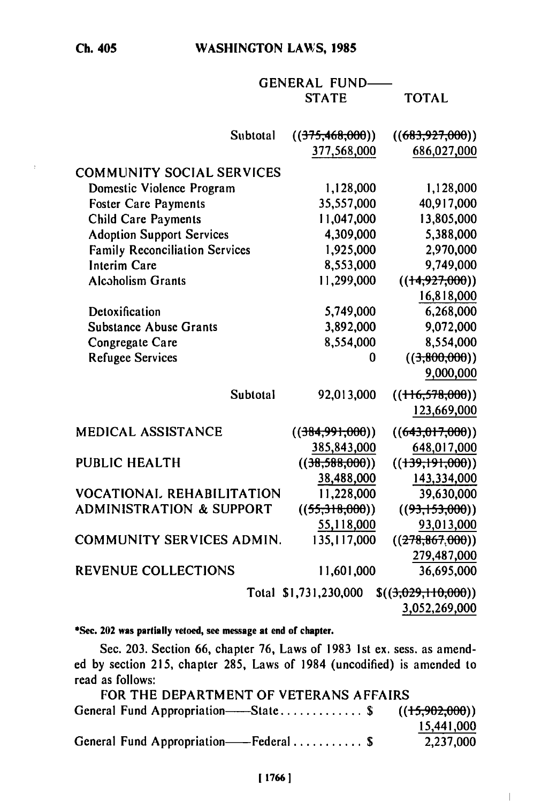**Ch. 405**

 $\bar{z}$ 

# **WASHINGTON LAWS, 1985**

**GENERAL** FUND **STATE** TOTAL

| Subtotal                              | ((375,468,000))<br>377,568,000 | ((683,927,000))<br>686,027,000 |
|---------------------------------------|--------------------------------|--------------------------------|
| <b>COMMUNITY SOCIAL SERVICES</b>      |                                |                                |
|                                       |                                |                                |
| Domestic Violence Program             | 1,128,000                      | 1,128,000                      |
| <b>Foster Care Payments</b>           | 35,557,000                     | 40,917,000                     |
| <b>Child Care Payments</b>            | 11,047,000                     | 13,805,000                     |
| <b>Adoption Support Services</b>      | 4,309,000                      | 5,388,000                      |
| <b>Family Reconciliation Services</b> | 1,925,000                      | 2,970,000                      |
| <b>Interim Care</b>                   | 8,553,000                      | 9,749,000                      |
| <b>Alcoholism Grants</b>              | 11,299,000                     | ((14, 927, 000))               |
|                                       |                                | 16,818,000                     |
| Detoxification                        | 5,749,000                      | 6,268,000                      |
| <b>Substance Abuse Grants</b>         | 3,892,000                      | 9,072,000                      |
| Congregate Care                       | 8,554,000                      | 8,554,000                      |
| <b>Refugee Services</b>               | 0                              | ((3,800,000))                  |
|                                       |                                | 9,000,000                      |
| Subtotal                              | 92,013,000                     | (( <del>116,578,000</del> ))   |
|                                       |                                | 123,669,000                    |
| MEDICAL ASSISTANCE                    | ((384,991,000))                | ((643,017,000))                |
|                                       | 385,843,000                    | 648,017,000                    |
| <b>PUBLIC HEALTH</b>                  | ((38,588,000))                 | $((+39, +91, 000))$            |
|                                       | 38,488,000                     | 143,334,000                    |
| <b>VOCATIONAL REHABILITATION</b>      | 11,228,000                     | 39,630,000                     |
| <b>ADMINISTRATION &amp; SUPPORT</b>   | ((55,318,000))                 | ((93,153,000))                 |
|                                       | 55,118,000                     | 93,013,000                     |
| <b>COMMUNITY SERVICES ADMIN.</b>      | 135, 117,000                   | ((278, 867, 000))              |
|                                       |                                | 279,487,000                    |
| <b>REVENUE COLLECTIONS</b>            | 11,601,000                     | 36,695,000                     |
|                                       | Total \$1,731,230,000          | \$(3,029,110,000))             |

3,052,269,000

 $\overline{1}$ 

**\*Sec. 202 was partially vetoed, see message at end of chapter.**

Sec. **203.** Section **66,** chapter **76,** Laws of **1983 Ist** ex. sess. as amended by section 215, chapter 285, Laws of 1984 (uncodified) is amended to read as follows:

| FOR THE DEPARTMENT OF VETERANS AFFAIRS               |            |
|------------------------------------------------------|------------|
| General Fund Appropriation——State\$ $((15,902,000))$ |            |
|                                                      | 15,441,000 |
| General Fund Appropriation——Federal \$               | 2,237,000  |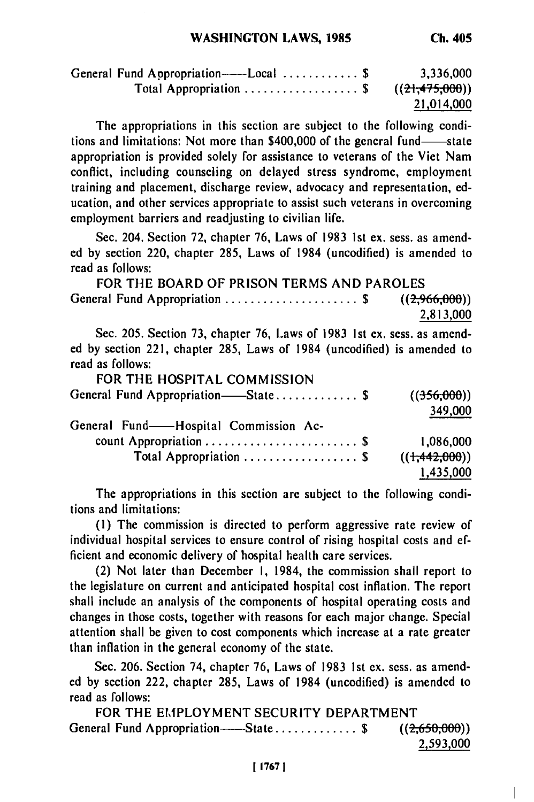| General Fund Appropriation——Local $\$   | 3,336,000  |
|-----------------------------------------|------------|
| Total Appropriation \$ $((21,475,000))$ |            |
|                                         | 21,014,000 |

The appropriations in this section are subject to the following conditions and limitations: Not more than \$400,000 of the general fund-state appropriation is provided solely for assistance to veterans of the Viet Nam conflict, including counseling on delayed stress syndrome, employment training and placement, discharge review, advocacy and representation, education, and other services appropriate to assist such veterans in overcoming employment barriers and readjusting to civilian life.

Sec. 204. Section **72,** chapter **76,** Laws of **1983 Ist** ex. sess. as amended **by** section 220, chapter **285,** Laws of 1984 (uncodified) is amended to read as follows:

FOR THE BOARD OF PRISON TERMS **AND** PAROLES General Fund Appropriation ........................\$  $((2,966,000))$ **2,813,000**

Sec. **205.** Section **73,** chapter **76,** Laws of 1983 **Ist** ex. sess. as amended **by** section 221, chapter **285,** Laws of 1984 (uncodified) is amended to read as follows:

| FOR THE HOSPITAL COMMISSION           |                          |
|---------------------------------------|--------------------------|
| General Fund Appropriation—State \$   | ((356,000))              |
|                                       | 349,000                  |
| General Fund--Hospital Commission Ac- |                          |
|                                       | 1.086.000                |
| Total Appropriation  \$               | $((+\frac{442,000}{5}))$ |
|                                       | 1,435,000                |

The appropriations in this section are subject to the following conditions and limitations:

**(I)** The commission is directed to perform aggressive rate review of individual hospital services to ensure control of rising hospital costs and efficient and economic delivery of hospital health care services.

(2) Not later than December **I,** 1984, the commission shall report to the legislature on current and anticipated hospital cost inflation. The report shall include an analysis of the components of hospital operating costs and changes in those costs, together with reasons for each major change. Special attention shall be given to cost components which increase at a rate greater than inflation in the general economy of the state.

Sec. **206.** Section 74, chapter **76,** Laws of **1983 Ist** ex. sess. as amend**ed by** section 222, chapter **285,** Laws of 1984 (uncodified) is amended to read as follows:

FOR THE EMPLOYMENT SECURITY DEPARTMENT General Fund Appropriation---State ...............\$ ((2,650,000)) **2,593,000**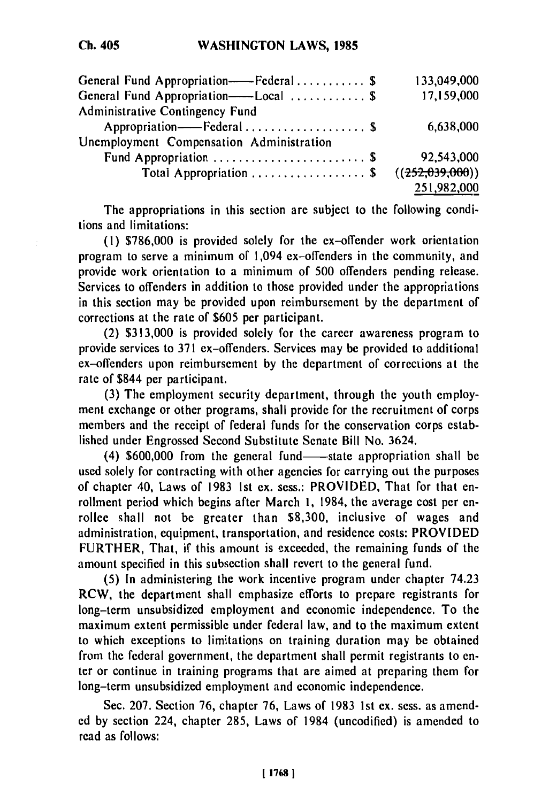| General Fund Appropriation----Federal\$  | 133,049,000       |
|------------------------------------------|-------------------|
| General Fund Appropriation---Local  \$   | 17,159,000        |
| Administrative Contingency Fund          |                   |
| Appropriation----Federal  \$             | 6,638,000         |
| Unemployment Compensation Administration |                   |
| Fund Appropriation  \$                   | 92,543,000        |
| Total Appropriation  \$                  | ((252, 039, 000)) |
|                                          | 251,982,000       |

The appropriations in this section are subject to the following conditions and limitations:

**(1) \$786,000** is provided solely for the ex-offender work orientation program to serve a minimum of 1,094 ex-offenders in the community, and provide work orientation to a minimum of **500** offenders pending release. Services to offenders in addition to those provided under the appropriations in this section may be provided upon reimbursement **by** the department of corrections at the rate of **\$605** per participant.

(2) **\$313,000** is provided solely for the career awareness program to provide services to **371** ex-offenders. Services may be provided to additional ex-offenders upon reimbursement **by** the department of corrections at the rate of \$844 per participant.

**(3)** The employment security department, through the youth employment exchange or other programs, shall provide for the recruitment of corps members and the receipt of federal funds for the conservation corps established under Engrossed Second Substitute Senate Bill No. 3624.

(4) \$600,000 from the general fund—state appropriation shall be used solely for contracting with other agencies for carrying out the purposes of chapter 40, Laws of **1983 1st ex.** sess.: PROVIDED, That for that enrollment period which begins after March **1,** 1984, the average cost per enrollee shall not be greater than **\$8,300,** inclusive of wages and administration, equipment, transportation, and residence costs: PROVIDED FURTHER, That, if this amount is exceeded, the remaining funds of the amount specified in this subsection shall revert to the general fund.

**(5)** In administering the work incentive program under chapter 74.23 RCW, the department shall emphasize efforts to prepare registrants for long-term unsubsidized employment and economic independence. To the maximum extent permissible under federal law, and to the maximum extent to which exceptions to limitations on training duration may be obtained from the federal government, the department shall permit registrants to enter or continue in training programs that are aimed at preparing them for long-term unsubsidized employment and economic independence.

Sec. **207.** Section **76,** chapter **76,** Laws of **1983 Ist** ex. sess. as amended **by** section 224, chapter **285,** Laws of 1984 (uncodified) is amended to read as follows: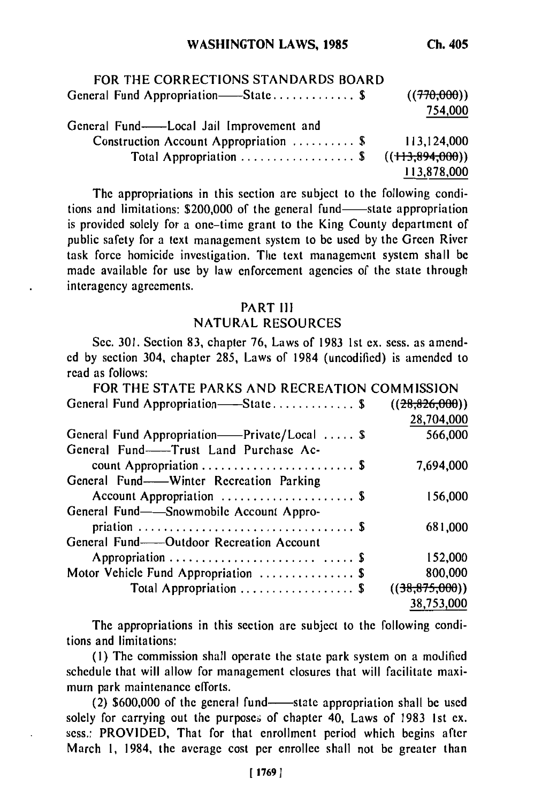| FOR THE CORRECTIONS STANDARDS BOARD      |             |
|------------------------------------------|-------------|
| General Fund Appropriation——State\$      | ((770,000)) |
|                                          | 754,000     |
| General Fund--Local Jail Improvement and |             |
| Construction Account Appropriation  \$   | 113,124,000 |
| Total Appropriation \$ $((113,894,000))$ |             |
|                                          | 113,878,000 |

The appropriations in this section are subject to the following conditions and limitations: \$200,000 of the general fund-state appropriation is provided solely for a one-time grant to the King County department of public safety for a text management system to be used by the Green River task force homicide investigation. The text management system shall be made available for use by law enforcement agencies of the state through interagency agreements.

### PART **II**

## NATURAL RESOURCES

Sec. 301. Section 83, chapter 76, Laws of 1983 Ist ex. sess. as amended by section 304, chapter 285, Laws of 1984 (uncodified) is amended to read as follows:

| FOR THE STATE PARKS AND RECREATION COMMISSION |                |
|-----------------------------------------------|----------------|
| General Fund Appropriation——State\$           | ((28.826.000)) |
|                                               | 28,704,000     |
| General Fund Appropriation——Private/Local  \$ | 566,000        |
| General Fund--Trust Land Purchase Ac-         |                |
|                                               | 7,694,000      |
| General Fund----Winter Recreation Parking     |                |
| Account Appropriation  \$                     | 156,000        |
| General Fund—Snowmobile Account Appro-        |                |
|                                               | 681,000        |
| General Fund——Outdoor Recreation Account      |                |
|                                               | 152,000        |
| Motor Vehicle Fund Appropriation  \$          | 800,000        |
| Total Appropriation  \$                       | ((38,875,000)) |
|                                               | 38,753,000     |

The appropriations in this section arc subject to the following conditions and limitations:

(I) The commission shall operate the state park system on a modified schedule that will allow for management closures that will facilitate maximum park maintenance efforts.

 $(2)$  \$600,000 of the general fund-state appropriation shall be used solely for carrying out the purposes of chapter 40, Laws of 1983 1st ex. sess.: PROVIDED, That for that enrollment period which begins after March 1, 1984, the average cost per enrollee shall not be greater than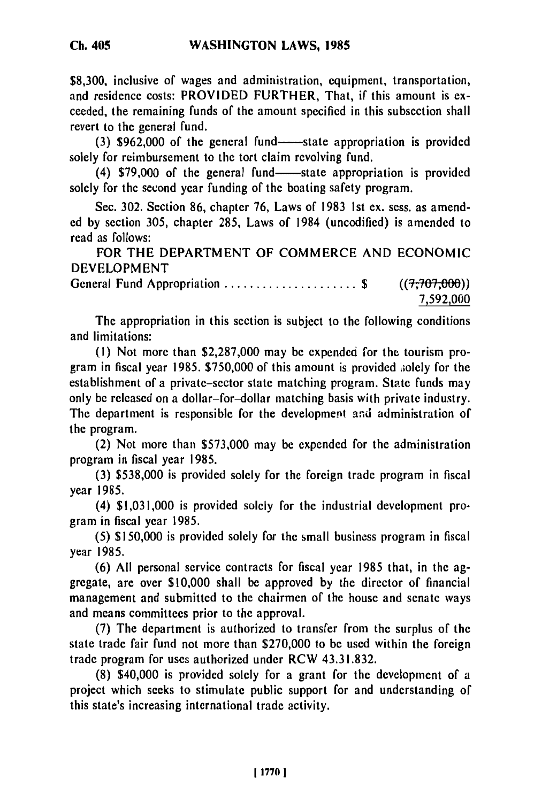**\$8,300,** inclusive of wages and administration, equipment, transportation, and residence costs: PROVIDED FURTHER, That, if this amount is **ex**ceeded, the remaining funds of the amount specified in this subsection shall revert to the general fund.

(3) \$962,000 of the general fund--state appropriation is provided solely for reimbursement to the tort claim revolving fund.

(4) **\$79,000** of the general fund- state appropriation is provided solely for the second year funding of the boating safety program.

Sec. **302.** Section **86,** chapter **76,** Laws of **1983 Ist ex.** sess. as amended **by** section **305,** chapter **285,** Laws of 1984 (uncodified) is amended to read as follows:

FOR THE DEPARTMENT OF COMMERCE **AND ECONOMIC DEVELOPMENT**

General Fund Appropriation ..........................\$ ((7,707,000)) 7,592,000

The appropriation in this section is subject to the following conditions and limitations:

**(1)** Not more than **\$2,287,000** may **be** expended for the tourism program in fiscal year **1985. \$750,000** of this amount is provided aolely for the establishment of a private-sector state matching program. State funds may only be released on a dollar-for-dollar matching basis with private industry. The department is responsible for the development and administration of the program.

(2) Not more than **\$573,000** may **be** expended for the administration program in fiscal year **1985.**

**(3) \$538,000** is provided solely for the foreign trade program in fiscal year **1985.**

(4) **\$1,031,000** is provided solely for the industrial development program in fiscal year **1985.**

**(5) \$150,000** is provided solely for the small business program in fiscal year **1985.**

**(6) All** personal service contracts for fiscal year **1985** that, in the aggregate, are over **\$10,000** shall be approved **by** the director of financial management and submitted to the chairmen of the house and senate ways and means committees prior to the approval.

**(7)** The department is authorized to transfer from the surplus of the state trade fair fund not more than **\$270,000** to be used within the foreign trade program for uses authorized under RCW **43.31.832.**

**(8)** \$40,000 is provided solely for a grant for the development of a project which seeks to stimulate public support for and understanding of this state's increasing international trade activity.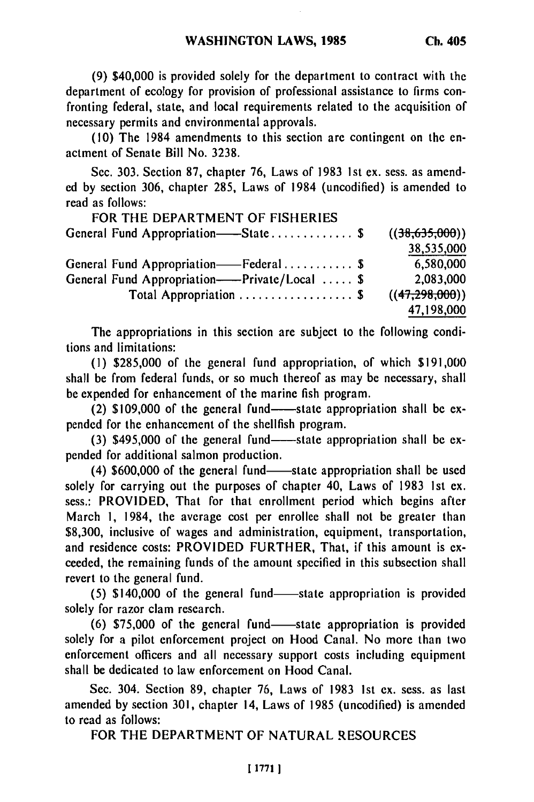**(9)** \$40,000 is provided solely for the department to contract with the department of ecology for provision of professional assistance to firms confronting federal, state, and local requirements related to the acquisition of necessary permits and environmental approvals.

(10) The 1984 amendments to this section are contingent on the enactment of Senate Bill No. **3238.**

Sec. **303.** Section **87,** chapter 76, Laws of **1983** 1st ex. sess. as amended **by** section 306, chapter 285, Laws of 1984 (uncodified) is amended to read as follows:

| FOR THE DEPARTMENT OF FISHERIES               |                |
|-----------------------------------------------|----------------|
| General Fund Appropriation——State \$          | ((38,635,000)) |
|                                               | 38,535,000     |
| General Fund Appropriation——Federal\$         | 6,580,000      |
| General Fund Appropriation——Private/Local  \$ | 2,083,000      |
| Total Appropriation  \$                       | ((47,298,000)) |
|                                               | 47,198,000     |

The appropriations in this section are subject to the following conditions and limitations:

**(1)** \$285,000 of the general fund appropriation, of which \$191,000 shall be from federal funds, or so much thereof as may be necessary, shall be expended for enhancement of the marine fish program.

 $(2)$  \$109,000 of the general fund--state appropriation shall be expended for the enhancement of the shellfish program.

(3)  $$495,000$  of the general fund--state appropriation shall be expended for additional salmon production.

(4) \$600,000 of the general fund—state appropriation shall be used solely for carrying out the purposes of chapter 40, Laws of 1983 Ist ex. sess.: PROVIDED, That for that enrollment period which begins after March **1,** 1984, the average cost per enrollee shall not be greater than \$8,300, inclusive of wages and administration, equipment, transportation, and residence costs: PROVIDED FURTHER, That, if this amount is exceeded, the remaining funds of the amount specified in this subsection shall revert to the general fund.

(5) \$140,000 of the general fund-state appropriation is provided solely for razor clam research.

(6) \$75,000 of the general fund-state appropriation is provided solely for a pilot enforcement project on Hood Canal. No more than two enforcement officers and all necessary support costs including equipment shall be dedicated to law enforcement on Hood Canal.

Sec. 304. Section 89, chapter 76, Laws of 1983 1st ex. sess. as last amended by section 301, chapter 14, Laws of 1985 (uncodified) is amended to read as follows:

FOR THE DEPARTMENT OF NATURAL RESOURCES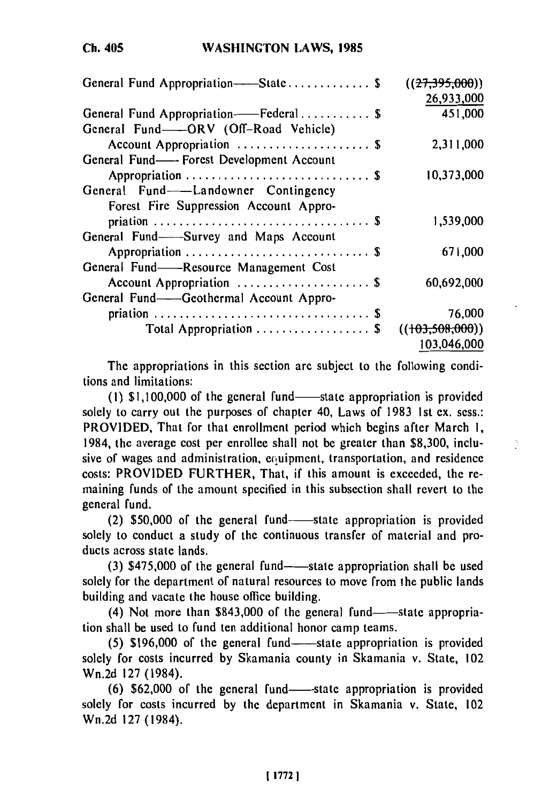## **Ch. 405**

| General Fund Appropriation-State \$      | ((27,395,000))    |
|------------------------------------------|-------------------|
|                                          | 26,933,000        |
| General Fund Appropriation——Federal\$    | 451,000           |
|                                          |                   |
| General Fund--ORV (Off-Road Vehicle)     |                   |
| Account Appropriation  \$                | 2,311,000         |
| General Fund—–Forest Development Account |                   |
|                                          | 10,373,000        |
| General Fund—Landowner Contingency       |                   |
| Forest Fire Suppression Account Appro-   |                   |
|                                          | 1,539,000         |
| General Fund-Survey and Maps Account     |                   |
|                                          | 671,000           |
| General Fund——Resource Management Cost   |                   |
| Account Appropriation  \$                | 60,692,000        |
| General Fund—Geothermal Account Appro-   |                   |
|                                          | 76,000            |
| Total Appropriation  \$                  | ((103, 508, 000)) |
|                                          | 103,046,000       |

The appropriations in this section are subject to the following conditions and limitations:

 $(1)$  \$1,100,000 of the general fund-state appropriation is provided solely to carry out the purposes of chapter 40, Laws of 1983 Ist ex. sess.: PROVIDED, That for that enrollment period which begins after March I, 1984, the average cost per enrollee shall not be greater than \$8,300, inclusive of wages and administration, equipment, transportation, and residence costs: PROVIDED FURTHER, That, if this amount is exceeded, the remaining funds of the amount specified in this subsection shall revert to the general fund.

Ò.

(2) \$50,000 of the general fund—state appropriation is provided solely to conduct a study of the continuous transfer of material and products across state lands.

(3)  $$475,000$  of the general fund--state appropriation shall be used solely for the department of natural resources to move from the public lands building and vacate the house office building.

 $(4)$  Not more than \$843,000 of the general fund-state appropriation shall be used to fund ten additional honor camp teams.

 $(5)$  \$196,000 of the general fund—state appropriation is provided solely for costs incurred by Skamania county in Skamania v. State, 102 Wn.2d 127 (1984).

(6) \$62,000 of the general fund-state appropriation is provided solely for costs incurred by the department in Skamania v. State, 102 Wn.2d 127 (1984).

**[1772** 1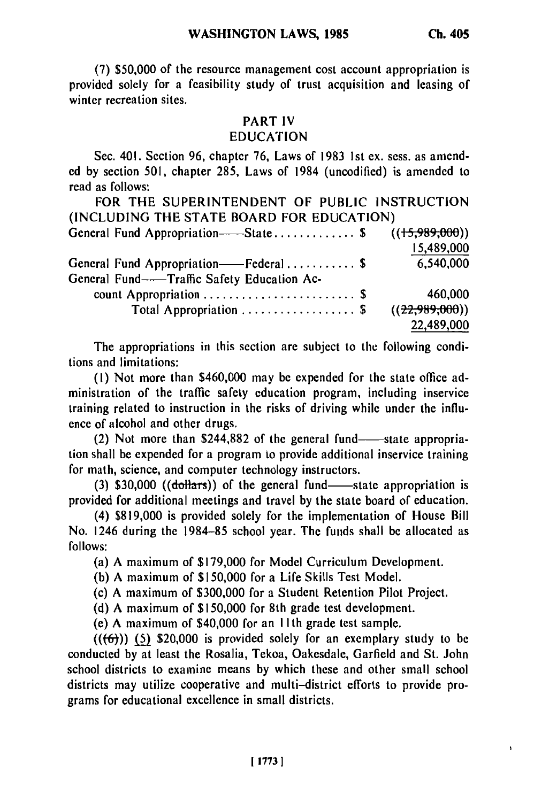**(7) \$50,000** of the resource management cost account appropriation is provided solely for a feasibility study of trust acquisition and leasing of winter recreation sites.

#### PART IV

#### EDUCATION

Sec. 401. Section 96, chapter 76, Laws of 1983 1st ex. sess. as amended by section 501, chapter 285, Laws of 1984 (uncodified) is amended to read as follows:

FOR THE SUPERINTENDENT OF PUBLIC INSTRUCTION (INCLUDING THE STATE BOARD FOR EDUCATION)

| General Fund Appropriation——State \$ $((15,989,000))$ |                  |
|-------------------------------------------------------|------------------|
|                                                       | 15,489,000       |
| General Fund Appropriation——Federal\$                 | 6,540,000        |
| General Fund--Traffic Safety Education Ac-            |                  |
| count Appropriation  \$                               | 460,000          |
| Total Appropriation  \$                               | ((22, 989, 000)) |
|                                                       | 22,489,000       |
|                                                       |                  |

The appropriations in this section are subject to the following conditions and limitations:

(I) Not more than \$460,000 may be expended for the state office administration of the traffic safety education program, including inservice training related to instruction in the risks of driving while under the influence of alcohol and other drugs.

(2) Not more than \$244,882 of the general fund-state appropriation shall be expended for a program to provide additional inservice training for math, science, and computer technology instructors.

 $(3)$  \$30,000 ( $(d$ ollars)) of the general fund- $-$ state appropriation is provided for additional meetings and travel by the state board of education.

(4) \$819,000 is provided solely for the implementation of House Bill No. 1246 during the 1984-85 school year. The funds shall be allocated as follows:

(a) A maximum of \$179,000 for Model Curriculum Development.

(b) A maximum of \$150,000 for a Life Skills Test Model.

(c) A maximum of \$300,000 for a Student Retention Pilot Project.

(d) A maximum of \$150,000 for 8th grade test development.

(e) A maximum of \$40,000 for an **I** Ith grade test sample.

 $((6)$ ) (5) \$20,000 is provided solely for an exemplary study to be conducted by at least the Rosalia, Tekoa, Oakesdale, Garfield and St. John school districts to examine means by which these and other small school districts may utilize cooperative and multi-district efforts to provide programs for educational excellence in small districts.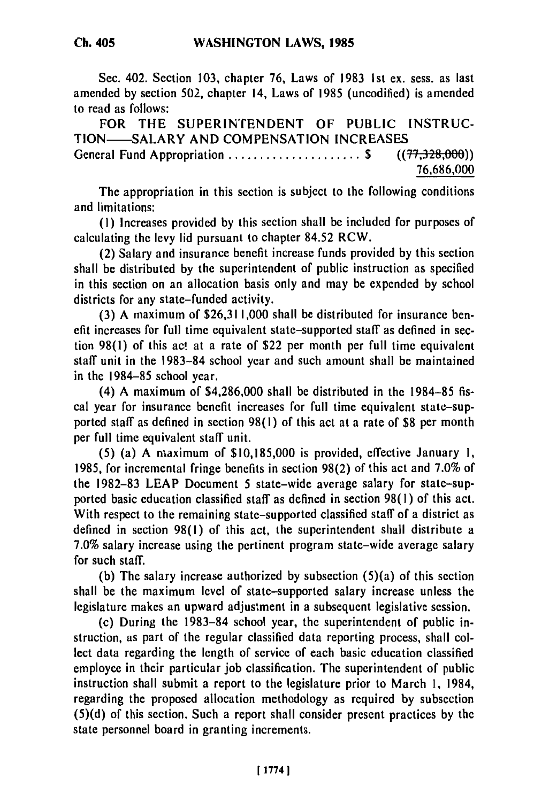Sec. 402. Section **103,** chapter 76, Laws of 1983 Ist ex. sess. as last amended by section 502, chapter 14, Laws of 1985 (uncodified) is amended to read as follows:

FOR THE SUPERINTENDENT OF PUBLIC INSTRUC-TION-SALARY AND COMPENSATION INCREASES General Fund Appropriation ........................\$ ((77,328,000))

76,686,000

The appropriation in this section is subject to the following conditions and limitations:

**(1)** Increases provided by this section shall be included for purposes of calculating the levy lid pursuant to chapter 84.52 RCW.

(2) Salary and insurance benefit increase funds provided by this section shall be distributed by the superintendent of public instruction as specified in this section on an allocation basis only and may be expended by school districts for any state-funded activity.

(3) A maximum of \$26,311,000 shall be distributed for insurance benefit increases for full time equivalent state-supported staff as defined in section 98(l) of this ac! at a rate of \$22 per month per full time equivalent staff unit in the 1983-84 school year and such amount shall be maintained in the 1984-85 school year.

(4) A maximum of \$4,286,000 shall be distributed in the 1984-85 fiscal year for insurance benefit increases for full time equivalent state-supported staff as defined in section 98(l) of this act at a rate of **\$8** per month per full time equivalent staff unit.

(5) (a) A maximum of \$10,185,000 is provided, effective January **1,** 1985, for incremental fringe benefits in section 98(2) of this act and 7.0% of the 1982-83 LEAP Document 5 state-wide average salary for state-supported basic education classified staff as defined in section 98(l) of this act. With respect to the remaining state-supported classified staff of a district as defined in section 98(1) of this act, the superintendent shall distribute a 7.0% salary increase using the pertinent program state-wide average salary for such staff.

(b) The salary increase authorized by subsection (5)(a) of this section shall be the maximum level of state-supported salary increase unless the legislature makes an upward adjustment in a subsequent legislative session.

(c) During the 1983-84 school year, the superintendent of public instruction, as part of the regular classified data reporting process, shall collect data regarding the length of service of each basic education classified employee in their particular job classification. The superintendent of public instruction shall submit a report to the legislature prior to March 1, 1984, regarding the proposed allocation methodology as required by subsection (5)(d) of this section. Such a report shall consider present practices by the state personnel board in granting increments.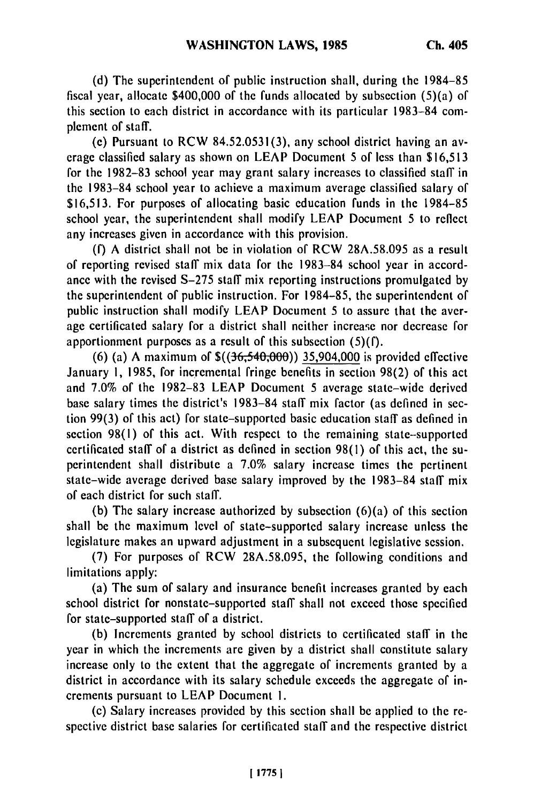**(d) The** superintendent of public instruction shall, during the **1984-85** fiscal year, allocate **\$400,000** of the funds allocated **by** subsection (5)(a) of this section to each district in accordance with its particular **1983-84** complement of staff.

(e) Pursuant to RCW **84.52.0531(3),** any school district having an average classified salary as shown on **LEAP** Document **5** of less than **\$16,513** for the **1982-83** school year may grant salary increases to classified staff in the **1983-84** school year to achieve a maximum average classified salary of **\$16,513.** For purposes of allocating basic education funds in the **1984-85** school year, the superintendent shall modify **LEAP** Document 5 to reflect any increases given in accordance with this provision.

**(f) A** district shall not be in violation of RCW **28A.58.095** as a result of reporting revised staff mix data for the **1983-84** school year in accordance with the revised **S-275** staff mix reporting instructions promulgated **by** the superintendent of public instruction. For **1984-85,** the superintendent of public instruction shall modify **LEAP** Document 5 to assure that the average certificated salary for a district shall neither increase nor decrease for apportionment purposes as a result of this subsection **(5)(f).**

**(6)** (a) **A** maximum of \$((36,540,000)) 35,904,000 is provided effective January **1, 1985,** for incremental fringe benefits in section **98(2)** of this act and **7.0%** of the **1982-83 LEAP** Document 5 average state-wide derived base salary times the district's **1983-84** staff mix factor (as defined in section **99(3)** of this act) for state-supported basic education staff as defined in section **98(l)** of this act. With respect to the remaining state-supported certificated staff of a district as defined in section **98(1)** of this act, the superintendent shall distribute a **7.0%** salary increase times the pertinent state-wide average derived base salary improved **by** the **1983-84** staff mix of each district for such staff.

**(b)** The salary increase authorized **by** subsection (6)(a) of this section shall be the maximum level of state-supported salary increase unless the legislature makes an upward adjustment in a subsequent legislative session.

**(7)** For purposes of RCW **28A.58.095,** the following conditions and limitations apply:

(a) The sum of salary and insurance benefit increases granted **by** each school district for nonstate-supported staff shall not exceed those specified for state-supported staff of a district.

**(b)** Increments granted **by** school districts to certificated staff in the year in which the increments are given **by** a district shall constitute salary increase only to the extent that the aggregate of increments granted **by** a district in accordance with its salary schedule exceeds the aggregate of increments pursuant to **LEAP** Document **I.**

(c) Salary increases provided **by** this section shall be applied to the respective district base salaries for certificated staff and the respective district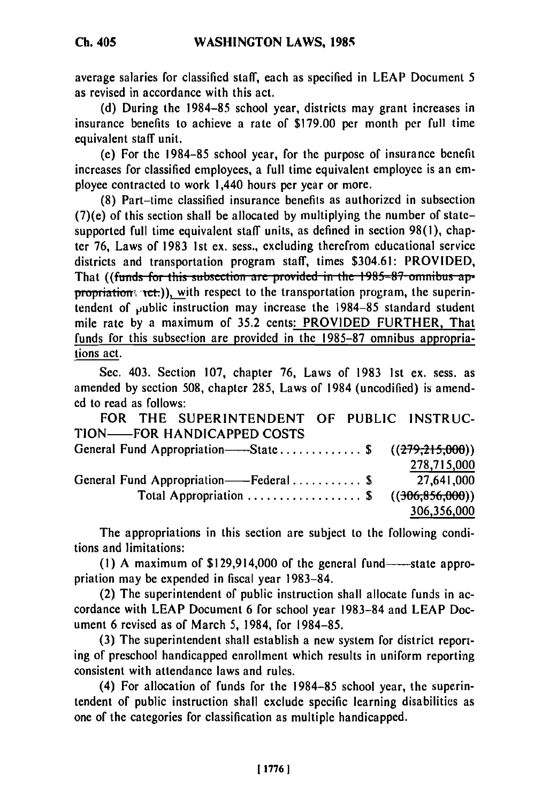average salaries for classified staff, each as specified in LEAP Document 5 as revised in accordance with this act.

(d) During the 1984-85 school year, districts may grant increases in insurance benefits to achieve a rate of \$179.00 per month per full time equivalent staff unit.

(e) For the 1984-85 school year, for the purpose of insurance benefit increases for classified employees, a full time equivalent employee is an employee contracted to work 1,440 hours per year or more.

(8) Part-time classified insurance benefits as authorizcd in subsection (7)(e) of this section shall be allocated by multiplying the number of statesupported full time equivalent staff units, as defined in section 98(1), chapter 76, Laws of 1983 1st ex. sess., excluding therefrom educational service districts and transportation program staff, times \$304.61: PROVIDED, That ((funds for this subsection are provided in the 1985-87 omnibus appropriation  $\text{rct.})$ , with respect to the transportation program, the superintendent of public instruction may increase the 1984-85 standard student mile rate by a maximum of 35.2 cents: PROVIDED FURTHER, That funds for this subsection are provided in the 1985-87 omnibus appropriations act.

Sec. 403. Section 107, chapter 76, Laws of 1983 1st ex. sess. as amended by section 508, chapter 285, Laws of 1984 (uncodified) is amended to read as follows:

FOR THE SUPERINTENDENT OF PUBLIC INSTRUC-TION-FOR HANDICAPPED COSTS General Fund Appropriation--State ............... \$ ((279,215,000)<br>278,715,000 General Fund Appropriation-Federal .......... **\$** 27,641,000 Total Appropriation .................. \$ **((306,856,000)) 306,356,000**

The appropriations in this section are subject to the following conditions and limitations:

 $(1)$  A maximum of  $$129,914,000$  of the general fund----state appropriation may be expended in fiscal year 1983-84.

(2) The superintendent of public instruction shall allocate funds in accordance with LEAP Document 6 for school year 1983-84 and LEAP Document 6 revised as of March 5, 1984, for 1984-85.

(3) The superintendent shall establish a new system for district reporting of preschool handicapped enrollment which results in uniform reporting consistent with attendance laws and rules.

(4) For allocation of funds for the 1984-85 school year, the superintendent of public instruction shall exclude specific learning disabilities as one of the categories for classification as multiple handicapped.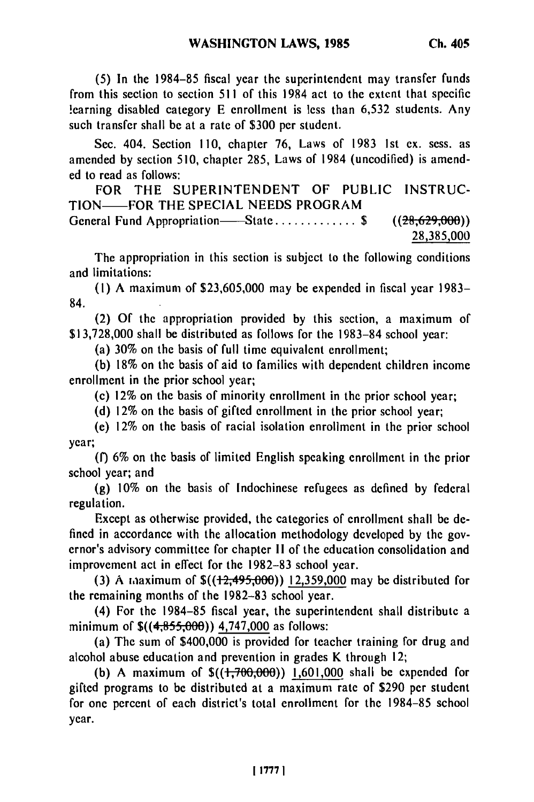**(5)** In the 1984-85 fiscal year the superintendent may transfer funds from this section to section 511 of this 1984 act to the extent that specific learning disabled category E enrollment is less than 6,532 students. Any such transfer shall be at a rate of \$300 per student.

Sec. 404. Section 110, chapter 76, Laws of 1983 Ist ex. sess. as amended by section 510, chapter 285, Laws of 1984 (uncodified) is amended to read as follows:

FOR THE SUPERINTENDENT OF PUBLIC INSTRUC-TION-FOR THE SPECIAL NEEDS PROGRAM General Fund Appropriation—State ................ \$ ((28,629,000)) **28,385,000**

The appropriation in this section is subject to the following conditions and limitations:

(I) A maximum of \$23,605,000 may be expended in fiscal year 1983- 84.

(2) Of the appropriation provided by this section, a maximum of \$13,728,000 shall be distributed as follows for the 1983-84 school year:

(a) 30% on the basis of full time equivalent enrollment;

(b) 18% on the basis of aid to families with dependent children income enrollment in the prior school year;

(c) 12% on the basis of minority enrollment in the prior school year;

(d) 12% on the basis of gifted enrollment in the prior school year;

(e) 12% on the basis of racial isolation enrollment in the prior school year;

**(f)** 6% on the basis of limited English speaking enrollment in the prior school year; and

(g) 10% on the basis of Indochinese refugees as defined by federal regulation.

Except as otherwise provided, the categories of enrollment shall be defined in accordance with the allocation methodology developed by the governor's advisory committee for chapter **1I** of the education consolidation and improvement act in effect for the 1982-83 school year.

(3) A maaximum of \$((12,495,000)) **12,359,000** may be distributed for the remaining months of the 1982-83 school year.

(4) For the 1984-85 fiscal year, the superintendent shall distribute a minimum of  $\$((4,855,000))$  4,747,000 as follows:

(a) The sum of \$400,000 is provided for teacher training for drug and alcohol abuse education and prevention in grades K through 12;

(b) A maximum of **\$((1,706,00** )) **1,601,000** shall be expended for gifted programs to be distributed at a maximum rate of \$290 per student for one percent of each district's total enrollment for the 1984-85 school year.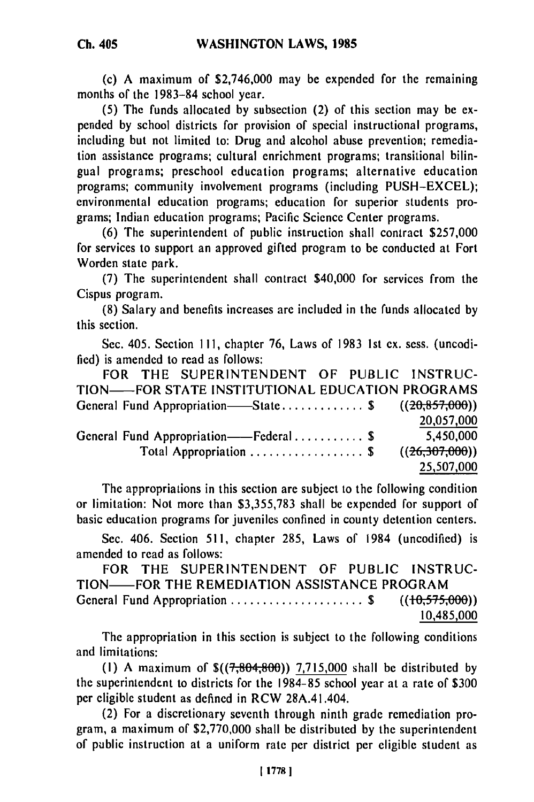(c) A maximum of \$2,746,000 may be expended for the remaining months of the 1983-84 school year.

**(5)** The funds allocated by subsection (2) of this section may be expended by school districts for provision of special instructional programs, including but not limited to: Drug and alcohol abuse prevention; remediation assistance programs; cultural enrichment programs; transitional bilingual programs; preschool education programs; alternative education programs; community involvement programs (including PUSH-EXCEL); environmental education programs; education for superior students programs; Indian education programs; Pacific Science Center programs.

(6) The superintendent of public instruction shall contract \$257,000 for services to support an approved gifted program to be conducted at Fort Worden state park.

**(7)** The superintendent shall contract \$40,000 for services from the Cispus program.

**(8)** Salary and benefits increases are included in the funds allocated by this section.

Sec. 405. Section **I 11,** chapter **76,** Laws of 1983 1st ex. sess. (uncodified) is amended to read as follows:

FOR THE SUPERINTENDENT OF PUBLIC INSTRUC-TION-FOR STATE INSTITUTIONAL EDUCATION PROGRAMS General Fund Appropriation—State ...................... \$  $((20,857,000))$ **20,057,000** General Fund Appropriation——Federal .............. \$ 5,450,000 Total Appropriation ........................... \$  $((26,307,000))$ 25,507,000

The appropriations in this section are subject to the following condition or limitation: Not more than \$3,355,783 shall be expended for support of basic education programs for juveniles confined in county detention centers.

Sec. 406. Section 511, chapter 285, Laws of 1984 (uncodified) is amended to read as follows:

FOR THE SUPERINTENDENT OF PUBLIC INSTRUC-TION-FOR THE REMEDIATION ASSISTANCE PROGRAM General Fund Appropriation ..................... \$ **((-0,575,00))** 10,485000

The appropriation in this section is subject to the following conditions and limitations:

(1) A maximum of  $\frac{s(7,804,800)}{7,715,000}$  shall be distributed by the superintendent to districts for the 1984-85 school year at a rate of \$300 per eligible student as defined in RCW 28A.41.404.

(2) For a discretionary seventh through ninth grade remediation program, a maximum of \$2,770,000 shall be distributed by the superintendent of public instruction at a uniform rate per district per eligible student as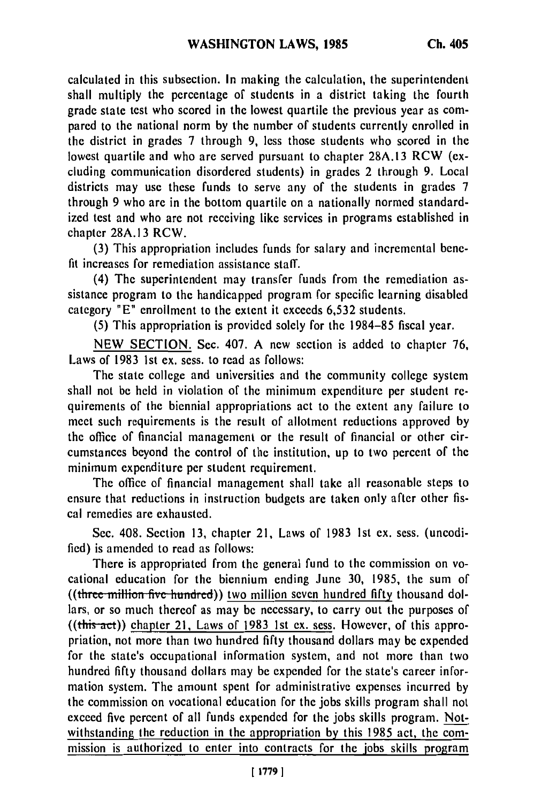calculated in this subsection. In making the calculation, the superintendent shall multiply the percentage of students in a district taking the fourth grade state test who scored in the lowest quartile the previous year as compared to the national norm by the number of students currently enrolled in the district in grades 7 through 9, less those students who scored in the lowest quartile and who are served pursuant to chapter 28A.13 RCW (excluding communication disordered students) in grades 2 through 9. Local districts may use these funds to serve any of the students in grades 7 through 9 who are in the bottom quartile on a nationally normed standardized test and who are not receiving like services in programs established in chapter 28A.13 RCW.

(3) This appropriation includes funds for salary and incremental benefit increases for remediation assistance staff.

(4) The superintendent may transfer funds from the remediation assistance program to the handicapped program for specific learning disabled category "E" enrollment to the extent it exceeds 6,532 students.

(5) This appropriation is provided solely for the 1984-85 fiscal year.

NEW SECTION. Sec. 407. A new section is added to chapter 76, Laws of 1983 ist ex. sess. to read as follows:

The state college and universities and the community college system shall not be held in violation of the minimum expenditure per student requirements of the biennial appropriations act to the extent any failure to meet such requirements is the result of allotment reductions approved by the office of financial management or the result of financial or other circumstances beyond the control of the institution, up to two percent of the minimum expenditure per student requirement.

The office of financial management shall take all reasonable steps to ensure that reductions in instruction budgets are taken only after other fiscal remedies are exhausted.

Sec. 408. Section 13, chapter 21, Laws of 1983 1st ex. sess. (uncodified) is amended to read as follows:

There is appropriated from the general fund to the commission on vocational education for the biennium ending June 30, 1985, the sum of ((three million five hundred)) two million seven hundred fifty thousand dollars, or so much thereof as may be necessary, to carry out the purposes of  $((this<sub>-act</sub>))$  chapter 21, Laws of 1983 1st ex. sess. However, of this appropriation, not more than two hundred fifty thousand dollars may be expended for the state's occupational information system, and not more than two hundred fifty thousand dollars may be expended for the state's career information system. The amount spent for administrative expenses incurred by the commission on vocational education for the jobs skills program shall not exceed five percent of all funds expended for the jobs skills program. Notwithstanding the reduction in the appropriation by this 1985 act, the commission is authorized to enter into contracts for the jobs skills program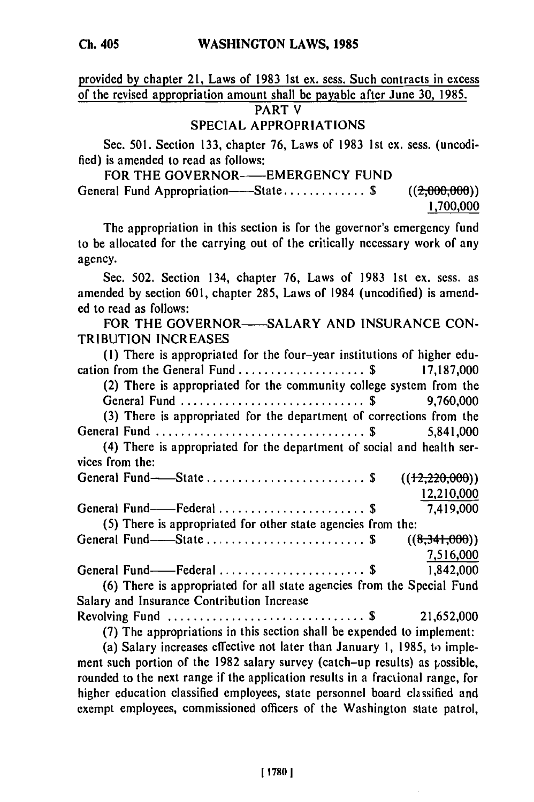**Ch. 405**

provided **by** chapter 21, Laws of **1983 1st** ex. sess. Such contracts in excess of the revised appropriation amount shall be payable after June **30, 1985.**

## **PART** V

# **SPECIAL APPROPRIATIONS**

Sec. **501.** Section **133,** chapter **76,** Laws of **1983 1st** ex. sess. (uncodified) is amended to read as follows:

| FOR THE GOVERNOR——EMERGENCY FUND    |               |
|-------------------------------------|---------------|
| General Fund Appropriation——State\$ | ((2,000,000)) |
|                                     | 1,700,000     |

The appropriation in this section is for the governor's emergency fund to be allocated for the carrying out of the critically necessary work of any agency.

Sec. **502.** Section 134, chapter **76,** Laws of **1983 1st** ex. sess. as amended **by** section **601,** chapter **285,** Laws of 1984 (uncodified) is amend**ed** to read as follows:

FOR THE GOVERNOR-SALARY AND INSURANCE CON-TRIBUTION INCREASES

| (1) There is appropriated for the four-year institutions of higher edu- |
|-------------------------------------------------------------------------|
| cation from the General Fund \$ 17,187,000                              |
| (2) There is appropriated for the community college system from the     |
|                                                                         |
| (3) There is appropriated for the department of corrections from the    |
| General Fund \$ 5,841,000                                               |
| (4) There is appropriated for the department of social and health ser-  |
| vices from the:                                                         |
| General Fund-State  \$<br>((12, 220, 000))                              |
| 12,210,000                                                              |
| General Fund----Federal  \$<br>7,419,000                                |
| (5) There is appropriated for other state agencies from the:            |
| General Fund——State  \$<br>((8,341,000))                                |
| 7,516,000                                                               |
|                                                                         |
| (6) There is appropriated for all state agencies from the Special Fund  |
| Salary and Insurance Contribution Increase                              |
|                                                                         |
| (7) The appropriations in this section shall be expended to implement:  |
|                                                                         |

(a) Salary increases effective not later than January **1,** 1985, to) implement such portion of the 1982 salary survey (catch-up results) as possible, rounded to the next range if the application results in a fractional range, for higher education classified employees, state personnel board classified and exempt employees, commissioned officers of the Washington state patrol,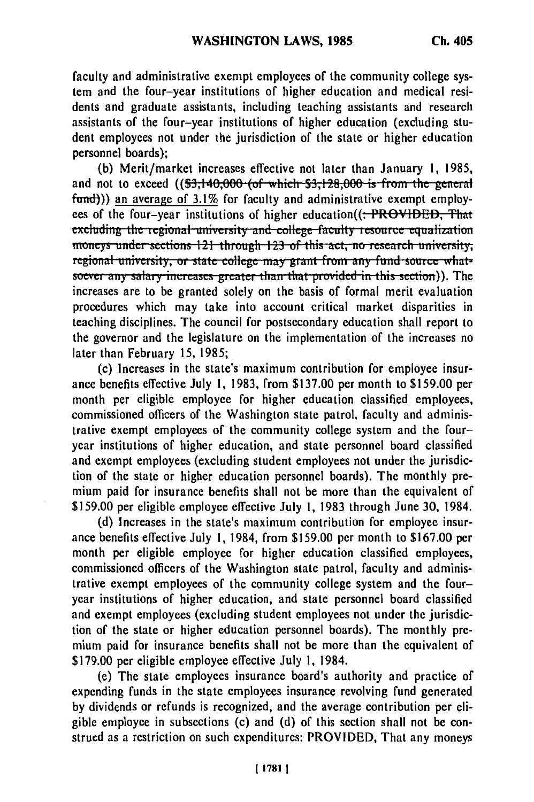faculty and administrative exempt employees of the community college system and the four-year institutions of higher education and medical residents and graduate assistants, including teaching assistants and research assistants of the four-year institutions of higher education (excluding student employees not under the jurisdiction of the state or higher education personnel boards);

**(b)** Merit/market increases effective not later than January 1, 1985, and not to exceed ((\$3,140,000 (of which \$3,128,000 is from the general fund))) an average of 3.1% for faculty and administrative exempt employees of the four-year institutions of higher education((: PROVIDED, That excluding the regional university and college faculty resource equalization **illucy**s under sections 121 through 123 of this act, no research university, regional university, or state college nay grant from any fund source what soever any salary increases greater than that provided in this section)). The increases are to be granted solely on the basis of formal merit evaluation procedures which may take into account critical market disparities in teaching disciplines. The council for postsecondary education shall report to the governor and the legislature on the implementation of the increases no later than February 15, 1985;

(c) Increases in the state's maximum contribution for employee insurance benefits effective July **1,** 1983, from \$137.00 per month to \$159.00 per month per eligible employee for higher education classified employees, commissioned officers of the Washington state patrol, faculty and administrative exempt employees of the community college system and the fouryear institutions of higher education, and state personnel board classified and exempt employees (excluding student employees not under the jurisdiction of the state or higher education personnel boards). The monthly premium paid for insurance benefits shall not be more than the equivalent of \$159.00 per eligible employee effective July 1, 1983 through June 30, 1984.

(d) Increases in the state's maximum contribution for employee insurance benefits effective July **1,** 1984, from \$159.00 per month to \$167.00 per month per eligible employee for higher education classified employees, commissioned officers of the Washington state patrol, faculty and administrative exempt employees of the community college system and the fouryear institutions of higher education, and state personnel board classified and exempt employees (excluding student employees not under the jurisdiction of the state or higher education personnel boards). The monthly premium paid for insurance benefits shall not be more than the equivalent of \$179.00 per eligible employee effective July 1, 1984.

(e) The state employees insurance board's authority and practice of expending funds in the state employees insurance revolving fund generated by dividends or refunds is recognized, and the average contribution per eligible employee in subsections (c) and (d) of this section shall not be construed as a restriction on such expenditures: PROVIDED, That any moneys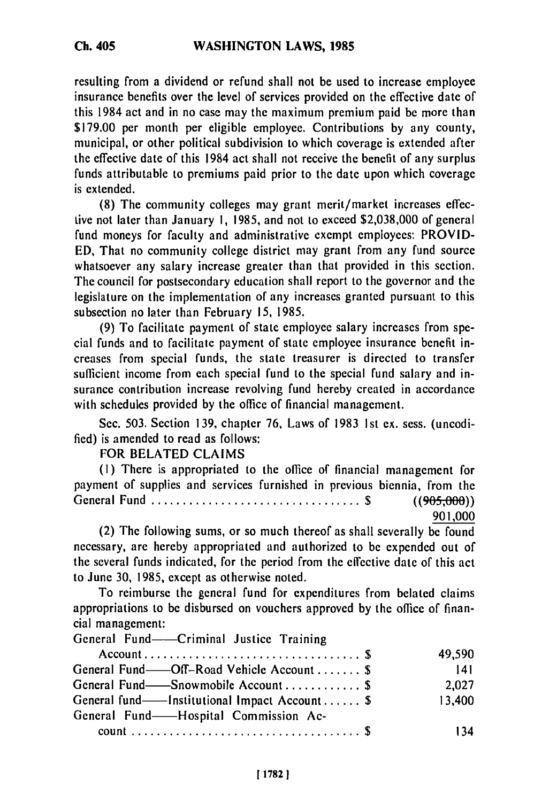resulting from a dividend or refund shall not be used to increase employee insurance benefits over the level of services provided on the effective date of this 1984 act and in no case may the maximum premium paid be more than \$179.00 per month per eligible employee. Contributions **by** any county, municipal, or other political subdivision to which coverage is extended after the effective date of this 1984 act shall not receive the benefit of any surplus funds attributable to premiums paid prior to the date upon which coverage is extended.

**(8)** The community colleges may grant merit/market increases effective not later than January **1, 1985,** and not to exceed \$2,038,000 of general fund moneys for faculty and administrative exempt employees: PROVID-**ED,** That no community college district may grant from any fund source whatsoever any salary increase greater than that provided in this section. The council for postsecondary education shall report to the governor and the legislature on the implementation of any increases granted pursuant to this subsection no later than February **15,** 1985.

(9) To facilitate payment of state employee salary increases from special funds and to facilitate payment of state employee insurance benefit increases from special funds, the state treasurer is directed to transfer sufficient income from each special fund to the special fund salary and insurance contribution increase revolving fund hereby created in accordance with schedules provided **by** the office of financial management.

Sec. 503. Section 139, chapter 76, Laws of 1983 Ist ex. sess. (uncodified) is amended to read as follows:

## FOR BELATED CLAIMS

**(I)** There is appropriated to the office of financial management for payment of supplies and services furnished in previous biennia, from the General Fund ................................. \$ ((905,000))

901,000

(2) The following sums, or so much thereof as shall severally be found necessary, are hereby appropriated and authorized to be expended out of the several funds indicated, for the period from the effective date of this act to June **30,** 1985, except as otherwise noted.

To reimburse the general fund for expenditures from belated claims appropriations to be disbursed on vouchers approved **by** the office of financial management:

General Fund-Criminal Justice Training

| $Account \dots \dots \dots \dots \dots \dots \dots \dots \dots \dots \dots \dots$ | 49,590 |
|-----------------------------------------------------------------------------------|--------|
| General Fund—Off-Road Vehicle Account  \$                                         | 141    |
| General Fund——Snowmobile Account  \$                                              | 2.027  |
| General fund—Institutional Impact Account \$                                      | 13,400 |
| General Fund—Hospital Commission Ac-                                              |        |
|                                                                                   | 34     |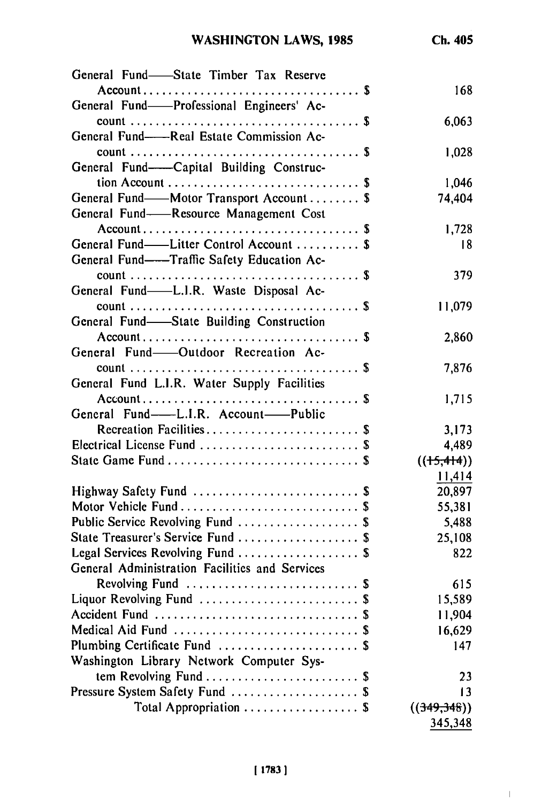$\mathbb{I}$ 

| General Fund-State Timber Tax Reserve          |                 |
|------------------------------------------------|-----------------|
|                                                | 168             |
| General Fund—Professional Engineers' Ac-       |                 |
|                                                | 6,063           |
| General Fund——Real Estate Commission Ac-       |                 |
|                                                | 1,028           |
| General Fund-Capital Building Construc-        |                 |
|                                                | 1,046           |
| General Fund--Motor Transport Account  \$      | 74,404          |
| General Fund-Resource Management Cost          |                 |
|                                                | 1,728           |
| General Fund—Litter Control Account  \$        | 18              |
| General Fund-Traffic Safety Education Ac-      |                 |
| General Fund-L.I.R. Waste Disposal Ac-         | 379             |
|                                                |                 |
| General Fund—State Building Construction       | 11,079          |
|                                                | 2,860           |
| General Fund-Outdoor Recreation Ac-            |                 |
|                                                | 7,876           |
| General Fund L.I.R. Water Supply Facilities    |                 |
|                                                | 1,715           |
| General Fund-L.I.R. Account-Public             |                 |
| Recreation Facilities \$                       | 3,173           |
| Electrical License Fund  \$                    | 4,489           |
|                                                | $((+5,414))$    |
|                                                | 11,414          |
| Highway Safety Fund  \$                        | 20,897          |
| Motor Vehicle Fund  \$                         | 55,381          |
| Public Service Revolving Fund  \$              | 5,488           |
| State Treasurer's Service Fund  \$             | 25,108          |
| Legal Services Revolving Fund  \$              | 822             |
| General Administration Facilities and Services |                 |
| Revolving Fund  \$                             | 615             |
| Liquor Revolving Fund  \$                      | 15,589          |
|                                                | 11,904          |
| Medical Aid Fund  \$                           | 16,629          |
| Plumbing Certificate Fund  \$                  | 147             |
| Washington Library Network Computer Sys-       |                 |
| tem Revolving Fund  \$                         | 23              |
| Pressure System Safety Fund  \$                | $\overline{13}$ |
| Total Appropriation  \$                        | ((349,348))     |
|                                                | 345,348         |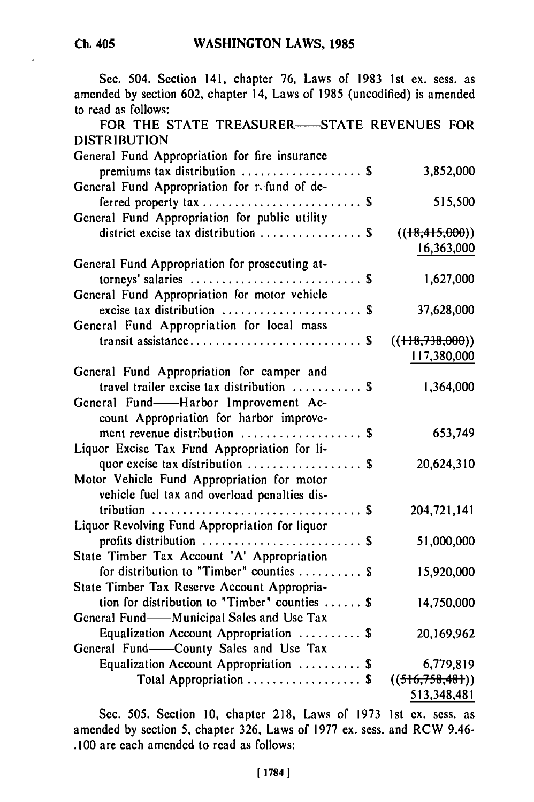Sec. 504. Section 141, chapter **76,** Laws of **1983 1st** ex. sess. as amended **by** section **602,** chapter 14, Laws of **1985** (uncodified) is amended to read as follows:

| FOR THE STATE TREASURER-STATE REVENUES FOR<br><b>DISTRIBUTION</b> |                 |
|-------------------------------------------------------------------|-----------------|
| General Fund Appropriation for fire insurance                     |                 |
| premiums tax distribution  \$                                     | 3,852,000       |
|                                                                   |                 |
| General Fund Appropriation for refund of de-                      |                 |
|                                                                   | 515,500         |
| General Fund Appropriation for public utility                     |                 |
| district excise tax distribution  \$                              | ((18,415,000))  |
|                                                                   | 16,363,000      |
| General Fund Appropriation for prosecuting at-                    |                 |
|                                                                   | 1,627,000       |
| General Fund Appropriation for motor vehicle                      |                 |
| excise tax distribution $\ldots \ldots \ldots \ldots \ldots$      | 37,628,000      |
| General Fund Appropriation for local mass                         |                 |
| transit assistance \$                                             | ((118,738,000)) |
|                                                                   | 117,380,000     |
| General Fund Appropriation for camper and                         |                 |
| travel trailer excise tax distribution  \$                        | 1,364,000       |
| General Fund-Harbor Improvement Ac-                               |                 |
| count Appropriation for harbor improve-                           |                 |
| ment revenue distribution  \$                                     | 653,749         |
| Liquor Excise Tax Fund Appropriation for li-                      |                 |
| quor excise tax distribution  \$                                  | 20,624,310      |
| Motor Vehicle Fund Appropriation for motor                        |                 |
| vehicle fuel tax and overload penalties dis-                      |                 |
|                                                                   | 204,721,141     |
| Liquor Revolving Fund Appropriation for liquor                    |                 |
| profits distribution  \$                                          | 51,000,000      |
| State Timber Tax Account 'A' Appropriation                        |                 |
| for distribution to "Timber" counties  \$                         | 15,920,000      |
| State Timber Tax Reserve Account Appropria-                       |                 |
| tion for distribution to "Timber" counties $\$                    | 14,750,000      |
| General Fund-Municipal Sales and Use Tax                          |                 |
| Equalization Account Appropriation  \$                            | 20,169,962      |
| General Fund-County Sales and Use Tax                             |                 |
| Equalization Account Appropriation  \$                            | 6,779,819       |
| Total Appropriation  \$                                           | ((516,758,481)) |
|                                                                   | 513 348 481     |
|                                                                   |                 |

Sec. 505. Section 10, chapter 218, Laws of 1973 1st ex. sess. as amended by section 5, chapter 326, Laws of 1977 ex. sess. and RCW 9.46- .100 are each amended to read as follows:

 $\overline{1}$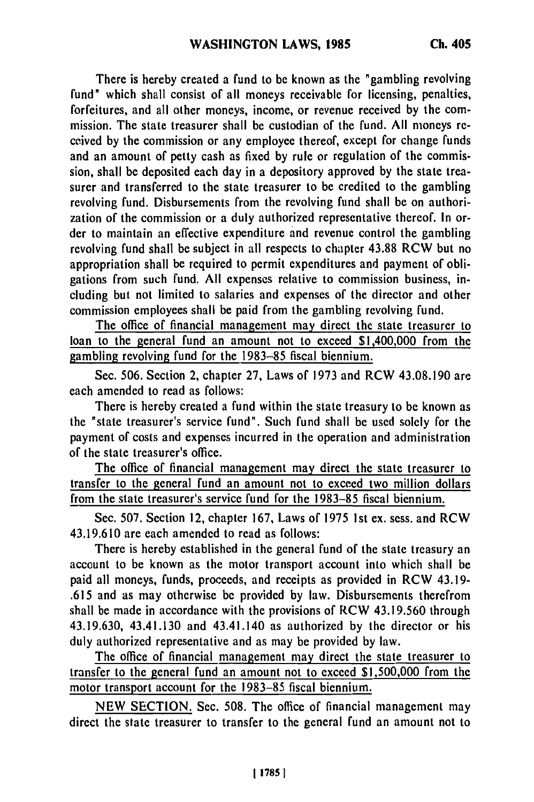There is hereby created a fund to be known as the "gambling revolving fund" which shall consist of all moneys receivable for licensing, penalties, forfeitures, and all other moneys, income, or revenue received by the commission. The state treasurer shall be custodian of the fund. All moneys received by the commission or any employee thereof, except for change funds and an amount of petty cash as fixed by rule or regulation of the commission, shall be deposited each day in a depository approved by the state treasurer and transferred to the state treasurer to be credited to the gambling revolving fund. Disbursements from the revolving fund shall be on authorization of the commission or a duly authorized representative thereof. In order to maintain an effective expenditure and revenue control the gambling revolving fund shall be subject in all respects to chapter 43.88 RCW but no appropriation shall be required to permit expenditures and payment of obligations from such fund. All expenses relative to commission business, including but not limited to salaries and expenses of the director and other commission employees shall be paid from the gambling revolving fund.

The office of financial management may direct the state treasurer to loan to the general fund an amount not to exceed \$1,400,000 from the gambling revolving fund for the 1983-85 fiscal biennium.

Sec. 506. Section 2, chapter 27, Laws of 1973 and RCW 43.08.190 are each amended to read as follows:

There is hereby created a fund within the state treasury to be known as the "state treasurer's service fund". Such fund shall be used solely for the payment of costs and expenses incurred in the operation and administration of the state treasurer's office.

The office of financial management may direct the state treasurer to transfer to the general fund an amount not to exceed two million dollars from the state treasurer's service fund for the 1983-85 fiscal biennium.

Sec. 507. Section 12, chapter 167, Laws of 1975 1st ex. sess. and RCW 43.19.610 are each amended to read as follows:

There is hereby established in the general fund of the state treasury an account to be known as the motor transport account into which shall be paid all moneys, funds, proceeds, and receipts as provided in RCW 43.19- .615 and as may otherwise be provided by law. Disbursements therefrom shall be made in accordance with the provisions of RCW 43.19.560 through 43.19.630, 43.41.130 and 43.41.140 as authorized by the director or his duly authorized representative and as may be provided by law.

The office of financial management may direct the state treasurer to transfer to the general fund an amount not to exceed \$1,500,000 from the motor transport account for the 1983-85 fiscal biennium.

NEW SECTION. Sec. 508. The office of financial management may direct the state treasurer to transfer to the general fund an amount not to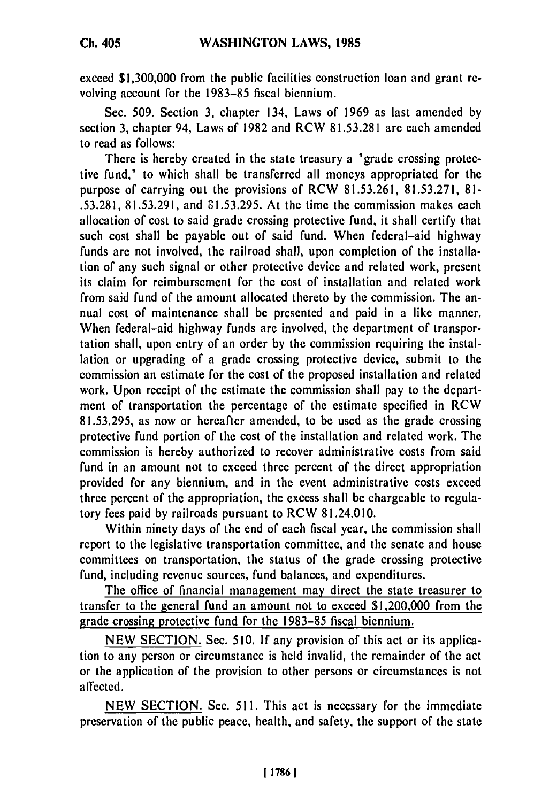**Ch. 405**

exceed **\$1,300,000** from the public facilities construction loan and grant **re**volving account for the 1983-85 fiscal biennium.

Sec. 509. Section 3, chapter 134, Laws of 1969 as last amended by section 3, chapter 94, Laws of 1982 and RCW 81.53.281 are each amended to read as follows:

There is hereby created in the state treasury a "grade crossing protective fund," to which shall be transferred all moneys appropriated for the purpose of carrying out the provisions of RCW 81.53.261, 81.53.271, 81-.53.281, 81.53.291, and 81.53.295. At the time the commission makes each allocation of cost to said grade crossing protective fund, it shall certify that such cost shall be payable out of said fund. When federal-aid highway funds are not involved, the railroad shall, upon completion of the installation of any such signal or other protective device and related work, present its claim for reimbursement for the cost of installation and related work from said fund of the amount allocated thereto by the commission. The annual cost of maintenance shall be presented and paid in a like manner. When federal-aid highway funds are involved, the department of transportation shall, upon entry of an order by the commission requiring the installation or upgrading of a grade crossing protective device, submit to the commission an estimate for the cost of the proposed installation and related work. Upon receipt of the estimate the commission shall pay to the department of transportation the percentage of the estimate specified in RCW 81.53.295, as now or hereafter amended, to be used as the grade crossing protective fund portion of the cost of the installation and related work. The commission is hereby authorized to recover administrative costs from said fund in an amount not to exceed three percent of the direct appropriation provided for any biennium, and in the event administrative costs exceed three percent of the appropriation, the excess shall be chargeable to regulatory fees paid by railroads pursuant to RCW 81.24.010.

Within ninety days of the end of each fiscal year, the commission shall report to the legislative transportation committee, and the senate and house committees on transportation, the status of the grade crossing protective fund, including revenue sources, fund balances, and expenditures.

The office of financial management may direct the state treasurer to transfer to the general fund an amount not to exceed \$1,200,000 from the grade crossing protective fund for the 1983-85 fiscal biennium.

NEW SECTION. Sec. 510. If any provision of this act or its application to any person or circumstance is held invalid, the remainder of the act or the application of the provision to other persons or circumstances is not affected.

NEW SECTION. Sec. 511. This act is necessary for the immediate preservation of the public peace, health, and safety, the support of the state

Ī